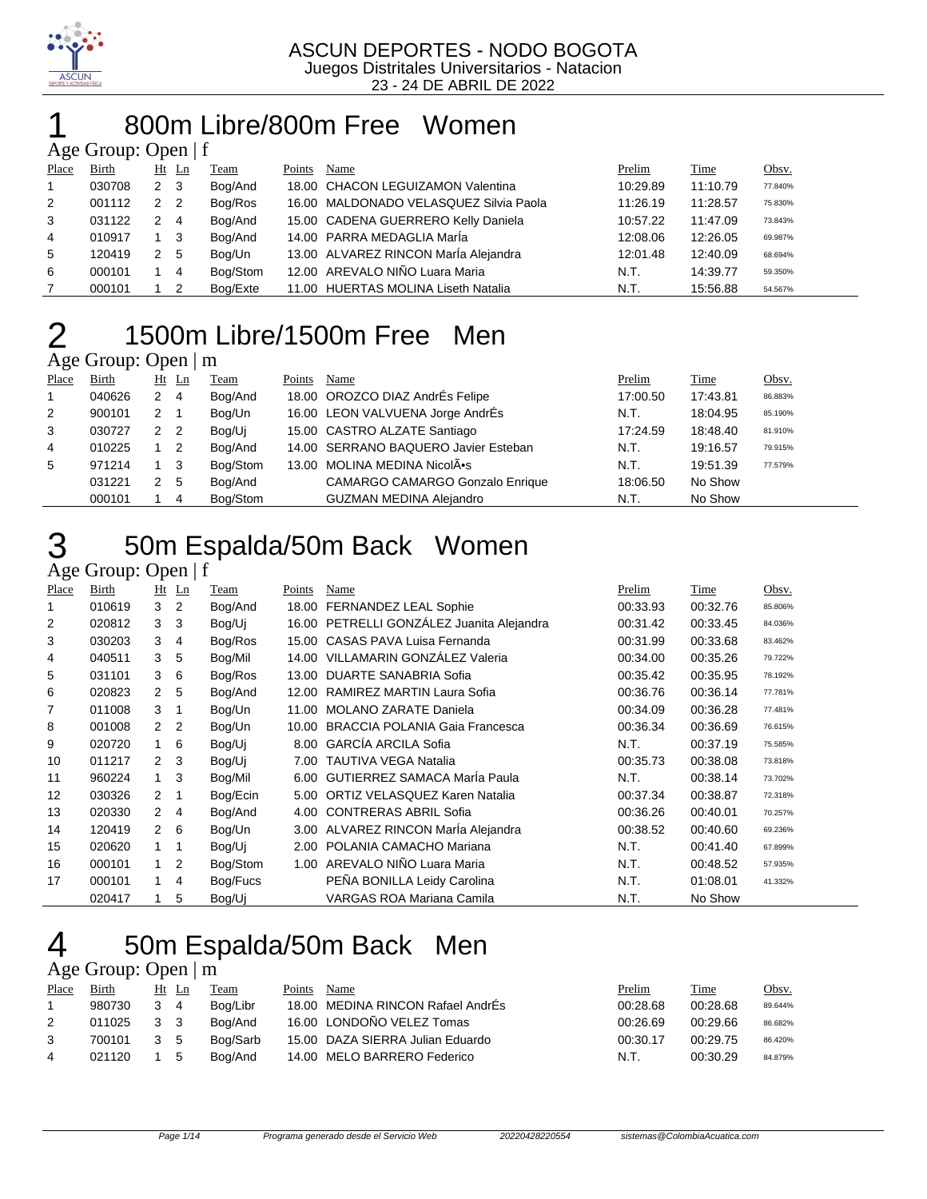

### 800m Libre/800m Free Women

#### Age Group: Open | f

| Place | <b>Birth</b> |             | $Ht$ Ln                    | Team     | Points | Name                                   | Prelim   | Time     | <u>Obsv.</u> |
|-------|--------------|-------------|----------------------------|----------|--------|----------------------------------------|----------|----------|--------------|
|       | 030708       | $2 \quad 3$ |                            | Bog/And  |        | 18.00 CHACON LEGUIZAMON Valentina      | 10:29.89 | 11:10.79 | 77.840%      |
| 2     | 001112       | 2           | $\overline{\phantom{0}}^2$ | Bog/Ros  |        | 16.00 MALDONADO VELASQUEZ Silvia Paola | 11:26.19 | 11:28.57 | 75.830%      |
| 3     | 031122       |             | $\overline{4}$             | Bog/And  |        | 15.00 CADENA GUERRERO Kelly Daniela    | 10:57.22 | 11:47.09 | 73.843%      |
| 4     | 010917       |             | 1 3                        | Bog/And  |        | 14.00 PARRA MEDAGLIA MarÍa             | 12:08.06 | 12:26.05 | 69.987%      |
| 5     | 120419       | 2 5         |                            | Bog/Un   |        | 13.00 ALVAREZ RINCON MarÍa Alejandra   | 12:01.48 | 12:40.09 | 68.694%      |
| 6     | 000101       |             | $^{\prime}$ 4              | Bog/Stom |        | 12.00 AREVALO NIÑO Luara Maria         | N.T.     | 14:39.77 | 59.350%      |
|       | 000101       |             | - 2                        | Bog/Exte |        | 11.00 HUERTAS MOLINA Liseth Natalia    | N.T.     | 15:56.88 | 54.567%      |

### 1500m Libre/1500m Free Men

### Age Group: Open | m

| Place          | <b>Birth</b> |                | $Ht$ Ln        | <b>Team</b> | Points | Name                                   | Prelim   | Time     | <u>Obsv.</u> |
|----------------|--------------|----------------|----------------|-------------|--------|----------------------------------------|----------|----------|--------------|
| $\overline{1}$ | 040626       | 2              | $\overline{4}$ | Bog/And     |        | 18.00 OROZCO DIAZ AndrÉs Felipe        | 17:00.50 | 17:43.81 | 86.883%      |
| 2              | 900101       | 2              | - 1            | Bog/Un      |        | 16.00 LEON VALVUENA Jorge AndrÉs       | N.T.     | 18:04.95 | 85.190%      |
| 3              | 030727       | 2 <sub>2</sub> |                | Bog/Uj      |        | 15.00 CASTRO ALZATE Santiago           | 17:24.59 | 18:48.40 | 81.910%      |
| 4              | 010225       |                | $\overline{2}$ | Bog/And     |        | 14.00 SERRANO BAQUERO Javier Esteban   | N.T.     | 19:16.57 | 79.915%      |
| 5              | 971214       | 1 3            |                | Bog/Stom    |        | 13.00 MOLINA MEDINA NicolÂ.            | N.T.     | 19:51.39 | 77.579%      |
|                | 031221       | 2 <sub>5</sub> |                | Bog/And     |        | <b>CAMARGO CAMARGO Gonzalo Enrique</b> | 18:06.50 | No Show  |              |
|                | 000101       |                | 4              | Bog/Stom    |        | <b>GUZMAN MEDINA Alejandro</b>         | N.T.     | No Show  |              |

### 50m Espalda/50m Back Women

#### Age Group: Open | f

| Place | Birth  |                      | $Ht$ Ln        | Team     | Points | Name                                      | Prelim   | Time     | Obsv.   |
|-------|--------|----------------------|----------------|----------|--------|-------------------------------------------|----------|----------|---------|
|       | 010619 | 3                    | $\overline{2}$ | Bog/And  |        | 18.00 FERNANDEZ LEAL Sophie               | 00:33.93 | 00:32.76 | 85.806% |
| 2     | 020812 | 3                    | -3             | Bog/Uj   |        | 16.00 PETRELLI GONZÁLEZ Juanita Alejandra | 00:31.42 | 00:33.45 | 84.036% |
| 3     | 030203 | 3                    | 4              | Bog/Ros  | 15.00  | CASAS PAVA Luisa Fernanda                 | 00:31.99 | 00:33.68 | 83.462% |
| 4     | 040511 | 3                    | -5             | Bog/Mil  | 14.00  | VILLAMARIN GONZÁLEZ Valeria               | 00:34.00 | 00:35.26 | 79.722% |
| 5     | 031101 | 3                    | 6              | Bog/Ros  | 13.00  | DUARTE SANABRIA Sofia                     | 00:35.42 | 00:35.95 | 78.192% |
| 6     | 020823 | $\mathbf{2}^{\circ}$ | 5              | Bog/And  | 12.00  | RAMIREZ MARTIN Laura Sofia                | 00:36.76 | 00:36.14 | 77.781% |
|       | 011008 | 3                    | -1             | Bog/Un   | 11.00  | <b>MOLANO ZARATE Daniela</b>              | 00:34.09 | 00:36.28 | 77.481% |
| 8     | 001008 | $\overline{2}$       | $\overline{2}$ | Bog/Un   | 10.00  | <b>BRACCIA POLANIA Gaia Francesca</b>     | 00:36.34 | 00:36.69 | 76.615% |
| 9     | 020720 |                      | 6              | Bog/Uj   | 8.00   | <b>GARCÍA ARCILA Sofia</b>                | N.T.     | 00:37.19 | 75.585% |
| 10    | 011217 | $\overline{2}$       | 3              | Bog/Uj   |        | 7.00 TAUTIVA VEGA Natalia                 | 00:35.73 | 00:38.08 | 73.818% |
| 11    | 960224 |                      | 3              | Bog/Mil  | 6.00   | <b>GUTIERREZ SAMACA Maria Paula</b>       | N.T.     | 00:38.14 | 73.702% |
| 12    | 030326 | 2                    | $\mathbf 1$    | Bog/Ecin | 5.00   | ORTIZ VELASQUEZ Karen Natalia             | 00:37.34 | 00:38.87 | 72.318% |
| 13    | 020330 | $\mathbf{2}^{\circ}$ | 4              | Bog/And  | 4.00   | <b>CONTRERAS ABRIL Sofia</b>              | 00:36.26 | 00:40.01 | 70.257% |
| 14    | 120419 | $2^{\circ}$          | 6              | Bog/Un   |        | 3.00 ALVAREZ RINCON Marla Alejandra       | 00:38.52 | 00:40.60 | 69.236% |
| 15    | 020620 |                      | $\overline{1}$ | Bog/Uj   | 2.00   | POLANIA CAMACHO Mariana                   | N.T.     | 00:41.40 | 67.899% |
| 16    | 000101 |                      | 2              | Bog/Stom |        | 1.00 AREVALO NIÑO Luara Maria             | N.T.     | 00:48.52 | 57.935% |
| 17    | 000101 |                      | 4              | Bog/Fucs |        | PEÑA BONILLA Leidy Carolina               | N.T.     | 01:08.01 | 41.332% |
|       | 020417 |                      | 5              | Bog/Uj   |        | VARGAS ROA Mariana Camila                 | N.T.     | No Show  |         |

# 50m Espalda/50m Back Men

|                      | Age Group: Open $\mid$ m |                |   |             |        |                                   |          |          |         |  |  |  |  |
|----------------------|--------------------------|----------------|---|-------------|--------|-----------------------------------|----------|----------|---------|--|--|--|--|
| Place                | <b>Birth</b>             | Ht Ln          |   | <b>Team</b> | Points | Name                              | Prelim   | Time     | Obsv.   |  |  |  |  |
|                      | 980730                   | $3\quad 4$     |   | Boa/Libr    |        | 18.00 MEDINA RINCON Rafael AndrÉs | 00:28.68 | 00:28.68 | 89.644% |  |  |  |  |
| $\mathbf{2}^{\circ}$ | 011025                   | 3 3            |   | Boa/And     |        | 16.00 LONDOÑO VELEZ Tomas         | 00:26.69 | 00:29.66 | 86.682% |  |  |  |  |
| 3                    | 700101                   | 3 <sub>5</sub> |   | Bog/Sarb    |        | 15.00 DAZA SIERRA Julian Eduardo  | 00:30.17 | 00:29.75 | 86.420% |  |  |  |  |
| 4                    | 021120                   |                | 5 | Bog/And     |        | 14.00 MELO BARRERO Federico       | N.T.     | 00:30.29 | 84.879% |  |  |  |  |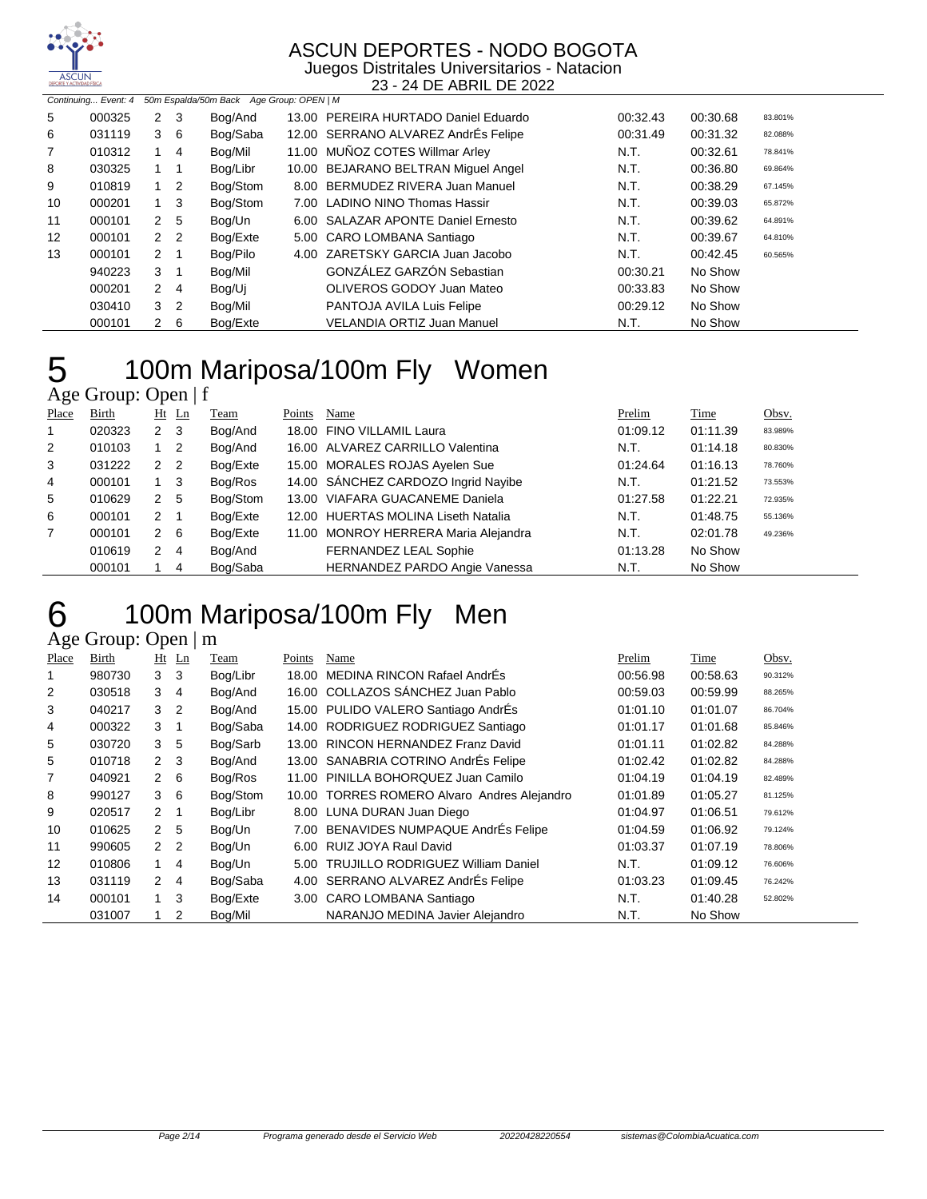

Juegos Distritales Universitarios - Natacion 23 - 24 DE ABRIL DE 2022

|                   | 50m Espalda/50m Back Age Group: OPEN   M<br>Continuing Event: 4 |              |                |          |  |                                      |          |          |         |  |  |
|-------------------|-----------------------------------------------------------------|--------------|----------------|----------|--|--------------------------------------|----------|----------|---------|--|--|
| 5                 | 000325                                                          | $\mathbf{2}$ | 3              | Bog/And  |  | 13.00 PEREIRA HURTADO Daniel Eduardo | 00:32.43 | 00:30.68 | 83.801% |  |  |
| 6                 | 031119                                                          | 3            | - 6            | Bog/Saba |  | 12.00 SERRANO ALVAREZ AndrÉs Felipe  | 00:31.49 | 00:31.32 | 82.088% |  |  |
| 7                 | 010312                                                          | 1            | $\overline{4}$ | Bog/Mil  |  | 11.00 MUÑOZ COTES Willmar Arley      | N.T.     | 00:32.61 | 78.841% |  |  |
| 8                 | 030325                                                          |              |                | Bog/Libr |  | 10.00 BEJARANO BELTRAN Miquel Angel  | N.T.     | 00:36.80 | 69.864% |  |  |
| 9                 | 010819                                                          |              | $1\quad 2$     | Bog/Stom |  | 8.00 BERMUDEZ RIVERA Juan Manuel     | N.T.     | 00:38.29 | 67.145% |  |  |
| 10                | 000201                                                          |              | $1 \quad 3$    | Bog/Stom |  | 7.00 LADINO NINO Thomas Hassir       | N.T.     | 00:39.03 | 65.872% |  |  |
| 11                | 000101                                                          | $\mathbf{2}$ | 5              | Bog/Un   |  | 6.00 SALAZAR APONTE Daniel Ernesto   | N.T.     | 00:39.62 | 64.891% |  |  |
| $12 \overline{ }$ | 000101                                                          |              | 2 <sub>2</sub> | Bog/Exte |  | 5.00 CARO LOMBANA Santiago           | N.T.     | 00:39.67 | 64.810% |  |  |
| 13                | 000101                                                          | $\mathbf{2}$ | -1             | Bog/Pilo |  | 4.00 ZARETSKY GARCIA Juan Jacobo     | N.T.     | 00:42.45 | 60.565% |  |  |
|                   | 940223                                                          | 3            |                | Bog/Mil  |  | <b>GONZÁLEZ GARZÓN Sebastian</b>     | 00:30.21 | No Show  |         |  |  |
|                   | 000201                                                          | $\mathbf{2}$ | 4              | Bog/Ui   |  | OLIVEROS GODOY Juan Mateo            | 00:33.83 | No Show  |         |  |  |
|                   | 030410                                                          |              | 3 <sub>2</sub> | Bog/Mil  |  | PANTOJA AVILA Luis Felipe            | 00:29.12 | No Show  |         |  |  |
|                   | 000101                                                          | 2            | - 6            | Bog/Exte |  | <b>VELANDIA ORTIZ Juan Manuel</b>    | N.T.     | No Show  |         |  |  |

| 5 | 100m N              |  |
|---|---------------------|--|
|   | Age Group: Open   f |  |

### Mariposa/100m Fly Women

| Place          | Birth  |                | $Ht$ Ln                    | Team     | Points | Name                                 | Prelim   | Time     | Obsv.   |
|----------------|--------|----------------|----------------------------|----------|--------|--------------------------------------|----------|----------|---------|
| $\mathbf 1$    | 020323 | 2 <sub>3</sub> |                            | Bog/And  |        | 18.00 FINO VILLAMIL Laura            | 01:09.12 | 01:11.39 | 83.989% |
| $\overline{2}$ | 010103 |                | $\overline{\phantom{0}}^2$ | Bog/And  |        | 16.00 ALVAREZ CARRILLO Valentina     | N.T.     | 01:14.18 | 80.830% |
| 3              | 031222 | 2              | $\overline{2}$             | Bog/Exte |        | 15.00 MORALES ROJAS Ayelen Sue       | 01:24.64 | 01:16.13 | 78.760% |
| 4              | 000101 | $1 \quad 3$    |                            | Bog/Ros  |        | 14.00 SÁNCHEZ CARDOZO Ingrid Nayibe  | N.T.     | 01:21.52 | 73.553% |
| 5              | 010629 | 2 <sub>5</sub> |                            | Bog/Stom |        | 13.00 VIAFARA GUACANEME Daniela      | 01:27.58 | 01:22.21 | 72.935% |
| 6              | 000101 | 2              | $\overline{1}$             | Bog/Exte |        | 12.00 HUERTAS MOLINA Liseth Natalia  | N.T.     | 01:48.75 | 55.136% |
| $\overline{7}$ | 000101 | $2 \quad 6$    |                            | Bog/Exte |        | 11.00 MONROY HERRERA Maria Alejandra | N.T.     | 02:01.78 | 49.236% |
|                | 010619 | $\mathbf{2}$   | $\overline{4}$             | Bog/And  |        | FERNANDEZ LEAL Sophie                | 01:13.28 | No Show  |         |
|                | 000101 |                | 4                          | Bog/Saba |        | HERNANDEZ PARDO Angie Vanessa        | N.T.     | No Show  |         |

### 100m Mariposa/100m Fly Men

| Place | <b>Birth</b> | Ht            | Ln             | Team     | Points | Name                                        | Prelim   | Time     | Obsv.   |
|-------|--------------|---------------|----------------|----------|--------|---------------------------------------------|----------|----------|---------|
|       | 980730       | 3             | 3              | Bog/Libr | 18.00  | MEDINA RINCON Rafael AndrÉs                 | 00:56.98 | 00:58.63 | 90.312% |
| 2     | 030518       | 3             | 4              | Bog/And  |        | 16.00 COLLAZOS SÁNCHEZ Juan Pablo           | 00:59.03 | 00:59.99 | 88.265% |
| 3     | 040217       | 3             | 2              | Bog/And  |        | 15.00 PULIDO VALERO Santiago AndrÉs         | 01:01.10 | 01:01.07 | 86.704% |
| 4     | 000322       | 3             | 1              | Bog/Saba |        | 14.00 RODRIGUEZ RODRIGUEZ Santiago          | 01:01.17 | 01:01.68 | 85.846% |
| 5     | 030720       | 3             | 5              | Bog/Sarb | 13.00  | <b>RINCON HERNANDEZ Franz David</b>         | 01:01.11 | 01:02.82 | 84.288% |
| 5     | 010718       | $\mathcal{P}$ | 3              | Bog/And  |        | 13.00 SANABRIA COTRINO AndrÉs Felipe        | 01:02.42 | 01:02.82 | 84.288% |
| 7     | 040921       | $\mathcal{P}$ | 6              | Bog/Ros  | 11.00  | PINILLA BOHORQUEZ Juan Camilo               | 01:04.19 | 01:04.19 | 82.489% |
| 8     | 990127       | 3             | - 6            | Bog/Stom |        | 10.00 TORRES ROMERO Alvaro Andres Alejandro | 01:01.89 | 01:05.27 | 81.125% |
| 9     | 020517       | $\mathcal{P}$ | -1             | Bog/Libr |        | 8.00 LUNA DURAN Juan Diego                  | 01:04.97 | 01:06.51 | 79.612% |
| 10    | 010625       | 2             | 5              | Bog/Un   | 7.00   | BENAVIDES NUMPAQUE AndrÉs Felipe            | 01:04.59 | 01:06.92 | 79.124% |
| 11    | 990605       | 2             | 2              | Bog/Un   | 6.00   | RUIZ JOYA Raul David                        | 01:03.37 | 01:07.19 | 78.806% |
| 12    | 010806       | 1             | 4              | Bog/Un   | 5.00   | <b>TRUJILLO RODRIGUEZ William Daniel</b>    | N.T.     | 01:09.12 | 76.606% |
| 13    | 031119       | $\mathcal{P}$ | 4              | Bog/Saba |        | 4.00 SERRANO ALVAREZ AndrÉs Felipe          | 01:03.23 | 01:09.45 | 76.242% |
| 14    | 000101       | 1             | 3              | Bog/Exte |        | 3.00 CARO LOMBANA Santiago                  | N.T.     | 01:40.28 | 52.802% |
|       | 031007       |               | $\overline{2}$ | Bog/Mil  |        | NARANJO MEDINA Javier Aleiandro             | N.T.     | No Show  |         |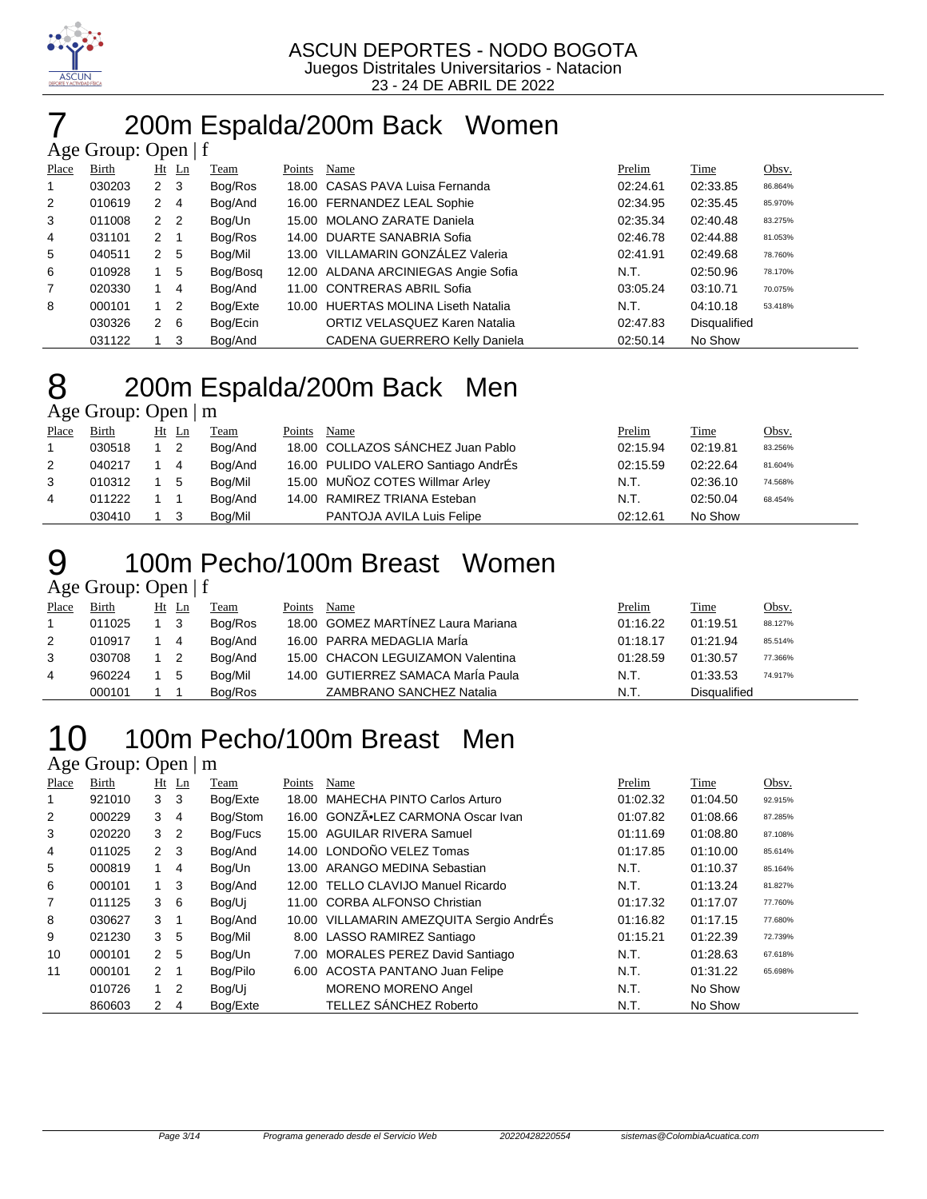

# 7 200m Espalda/200m Back Women

|                | Age Group: Open $ f $ |                |         |          |        |                                     |          |                     |         |
|----------------|-----------------------|----------------|---------|----------|--------|-------------------------------------|----------|---------------------|---------|
| Place          | Birth                 |                | $Ht$ Ln | Team     | Points | Name                                | Prelim   | Time                | Obsv.   |
| 1              | 030203                | 2 3            |         | Bog/Ros  |        | 18.00 CASAS PAVA Luisa Fernanda     | 02:24.61 | 02:33.85            | 86.864% |
| 2              | 010619                | $\mathbf{2}$   | -4      | Bog/And  |        | 16.00 FERNANDEZ LEAL Sophie         | 02:34.95 | 02:35.45            | 85.970% |
| 3              | 011008                | 2 <sub>2</sub> |         | Bog/Un   |        | 15.00 MOLANO ZARATE Daniela         | 02:35.34 | 02:40.48            | 83.275% |
| 4              | 031101                | $2 \quad 1$    |         | Bog/Ros  |        | 14.00 DUARTE SANABRIA Sofia         | 02:46.78 | 02:44.88            | 81.053% |
| 5              | 040511                | 2 <sub>5</sub> |         | Bog/Mil  |        | 13.00 VILLAMARIN GONZALEZ Valeria   | 02:41.91 | 02:49.68            | 78.760% |
| 6              | 010928                |                | -5      | Bog/Bosg |        | 12.00 ALDANA ARCINIEGAS Angie Sofia | N.T.     | 02:50.96            | 78.170% |
| $\overline{7}$ | 020330                |                | 4       | Bog/And  |        | 11.00 CONTRERAS ABRIL Sofia         | 03:05.24 | 03:10.71            | 70.075% |
| 8              | 000101                | $1\quad 2$     |         | Bog/Exte |        | 10.00 HUERTAS MOLINA Liseth Natalia | N.T.     | 04:10.18            | 53.418% |
|                | 030326                | $\mathbf{2}$   | - 6     | Bog/Ecin |        | ORTIZ VELASQUEZ Karen Natalia       | 02:47.83 | <b>Disqualified</b> |         |
|                | 031122                | 1 3            |         | Bog/And  |        | CADENA GUERRERO Kelly Daniela       | 02:50.14 | No Show             |         |

# 200m Espalda/200m Back Men

Age Group: Open | m

| Place | Birth  | $Ht$ Ln                    | Team    | Points | Name                                | Prelim   | Time     | Obsv.   |
|-------|--------|----------------------------|---------|--------|-------------------------------------|----------|----------|---------|
|       | 030518 | $\overline{\phantom{0}}^2$ | Bog/And |        | 18.00 COLLAZOS SÁNCHEZ Juan Pablo   | 02:15.94 | 02:19.81 | 83.256% |
| 2     | 040217 | $\overline{4}$             | Bog/And |        | 16.00 PULIDO VALERO Santiago AndrÉs | 02:15.59 | 02:22.64 | 81.604% |
| 3     | 010312 | - 5                        | Bog/Mil |        | 15.00 MUÑOZ COTES Willmar Arley     | N.T.     | 02:36.10 | 74.568% |
| 4     | 011222 |                            | Bog/And |        | 14.00 RAMIREZ TRIANA Esteban        | N.T.     | 02:50.04 | 68.454% |
|       | 030410 |                            | Bog/Mil |        | PANTOJA AVILA Luis Felipe           | 02:12.61 | No Show  |         |

### 100m Pecho/100m Breast Women Age Group: Open | f

| Place | Birth  | Ht Ln | Team    | Points | Name                               | <u>Prelim</u> | <b>Time</b>  | Obsv.   |
|-------|--------|-------|---------|--------|------------------------------------|---------------|--------------|---------|
|       | 011025 | -3    | Bog/Ros |        | 18.00 GOMEZ MARTINEZ Laura Mariana | 01:16.22      | 01:19.51     | 88.127% |
| 2     | 010917 | 4     | Bog/And |        | 16.00 PARRA MEDAGLIA MarÍa         | 01:18.17      | 01:21.94     | 85.514% |
| 3     | 030708 |       | Bog/And |        | 15.00 CHACON LEGUIZAMON Valentina  | 01:28.59      | 01:30.57     | 77.366% |
| 4     | 960224 | 5     | Bog/Mil |        | 14.00 GUTIERREZ SAMACA MarÍa Paula | N.T.          | 01:33.53     | 74.917% |
|       | 000101 |       | Bog/Ros |        | <b>ZAMBRANO SANCHEZ Natalia</b>    | N.T.          | Disqualified |         |

### 100m Pecho/100m Breast Men

| Place | Birth  |                | $Ht$ Ln        | Team     | Points | Name                                     | Prelim   | Time     | Obsv.   |
|-------|--------|----------------|----------------|----------|--------|------------------------------------------|----------|----------|---------|
|       | 921010 | 3 <sub>3</sub> |                | Bog/Exte | 18.00  | MAHECHA PINTO Carlos Arturo              | 01:02.32 | 01:04.50 | 92.915% |
| 2     | 000229 | 3              | $\overline{4}$ | Bog/Stom | 16.00  | GONZÃ.LEZ CARMONA Oscar Ivan             | 01:07.82 | 01:08.66 | 87.285% |
| 3     | 020220 | 3 <sub>2</sub> |                | Bog/Fucs |        | 15.00 AGUILAR RIVERA Samuel              | 01:11.69 | 01:08.80 | 87.108% |
| 4     | 011025 | 2 <sub>3</sub> |                | Bog/And  |        | 14.00 LONDOÑO VELEZ Tomas                | 01:17.85 | 01:10.00 | 85.614% |
| 5     | 000819 |                | 4              | Bog/Un   |        | 13.00 ARANGO MEDINA Sebastian            | N.T.     | 01:10.37 | 85.164% |
| 6     | 000101 | $1 \quad$      | -3             | Bog/And  |        | 12.00 TELLO CLAVIJO Manuel Ricardo       | N.T.     | 01:13.24 | 81.827% |
| 7     | 011125 | $3\quad 6$     |                | Bog/Ui   |        | 11.00 CORBA ALFONSO Christian            | 01:17.32 | 01:17.07 | 77.760% |
| 8     | 030627 | $3 \quad 1$    |                | Bog/And  |        | 10.00 VILLAMARIN AMEZQUITA Sergio AndrÉs | 01:16.82 | 01:17.15 | 77.680% |
| 9     | 021230 | 3 <sub>5</sub> |                | Bog/Mil  |        | 8.00 LASSO RAMIREZ Santiago              | 01:15.21 | 01:22.39 | 72.739% |
| 10    | 000101 | 2 <sub>5</sub> |                | Bog/Un   |        | 7.00 MORALES PEREZ David Santiago        | N.T.     | 01:28.63 | 67.618% |
| 11    | 000101 | $2 \quad 1$    |                | Bog/Pilo |        | 6.00 ACOSTA PANTANO Juan Felipe          | N.T.     | 01:31.22 | 65.698% |
|       | 010726 | $1\quad 2$     |                | Bog/Ui   |        | <b>MORENO MORENO Angel</b>               | N.T.     | No Show  |         |
|       | 860603 | 2              | 4              | Bog/Exte |        | TELLEZ SÁNCHEZ Roberto                   | N.T.     | No Show  |         |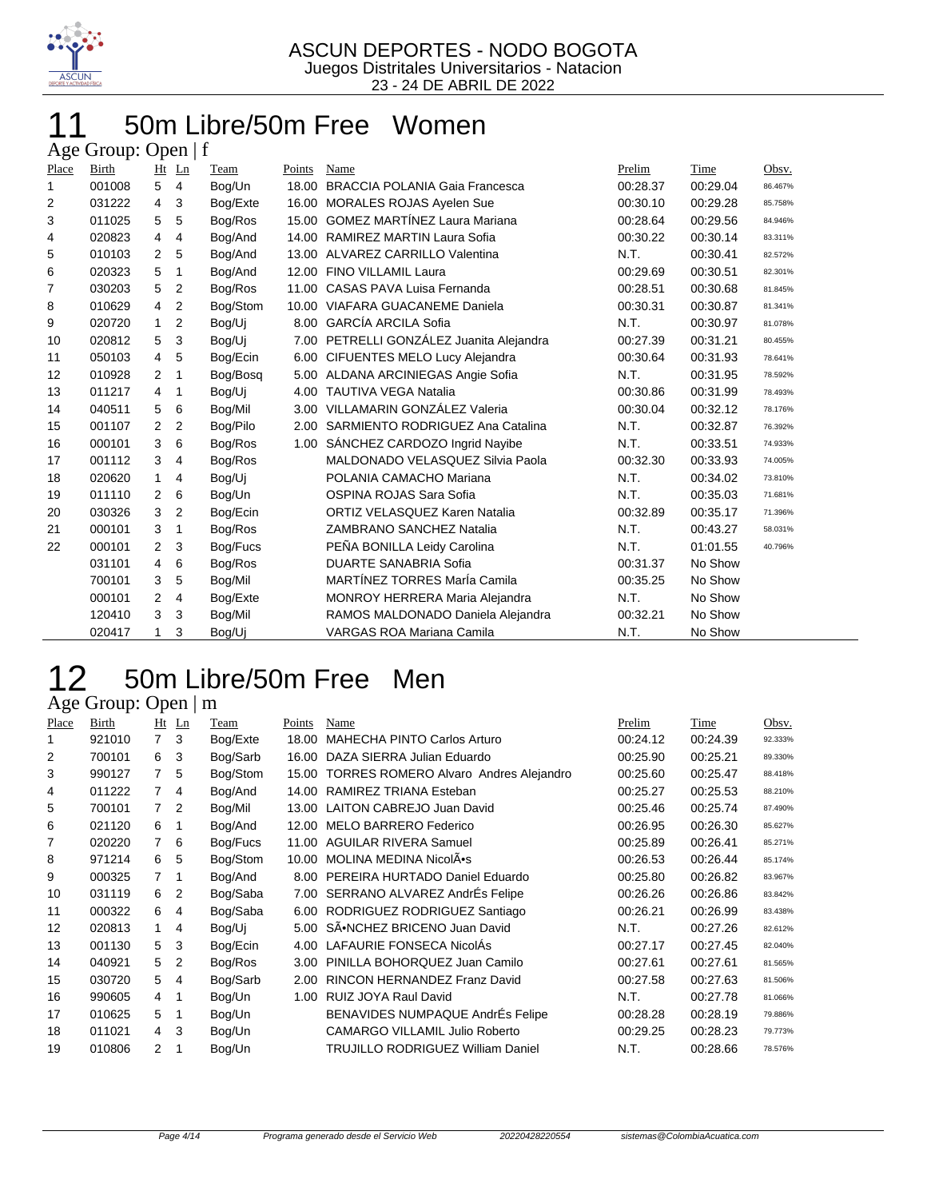

#### 50m Libre/50m Free Women  $\Delta$ ge Group: Open | f

|                | $\Delta g v$ Oroup. Open   1 |                |                |          |        |                                       |          |          |         |
|----------------|------------------------------|----------------|----------------|----------|--------|---------------------------------------|----------|----------|---------|
| Place          | <b>Birth</b>                 |                | $Ht$ Ln        | Team     | Points | Name                                  | Prelim   | Time     | Obsv.   |
| 1              | 001008                       | 5              | $\overline{4}$ | Bog/Un   | 18.00  | <b>BRACCIA POLANIA Gaia Francesca</b> | 00:28.37 | 00:29.04 | 86.467% |
| 2              | 031222                       | $\overline{4}$ | 3              | Bog/Exte | 16.00  | MORALES ROJAS Ayelen Sue              | 00:30.10 | 00:29.28 | 85.758% |
| 3              | 011025                       | 5              | 5              | Bog/Ros  | 15.00  | <b>GOMEZ MARTÍNEZ Laura Mariana</b>   | 00:28.64 | 00:29.56 | 84.946% |
| 4              | 020823                       | 4              | 4              | Bog/And  | 14.00  | RAMIREZ MARTIN Laura Sofia            | 00:30.22 | 00:30.14 | 83.311% |
| 5              | 010103                       | $\overline{2}$ | 5              | Bog/And  | 13.00  | ALVAREZ CARRILLO Valentina            | N.T.     | 00:30.41 | 82.572% |
| 6              | 020323                       | 5              | 1              | Bog/And  | 12.00  | FINO VILLAMIL Laura                   | 00:29.69 | 00:30.51 | 82.301% |
| $\overline{7}$ | 030203                       | 5              | $\overline{2}$ | Bog/Ros  | 11.00  | CASAS PAVA Luisa Fernanda             | 00:28.51 | 00:30.68 | 81.845% |
| 8              | 010629                       | $\overline{4}$ | $\overline{2}$ | Bog/Stom | 10.00  | <b>VIAFARA GUACANEME Daniela</b>      | 00:30.31 | 00:30.87 | 81.341% |
| 9              | 020720                       | 1              | 2              | Bog/Uj   | 8.00   | <b>GARCÍA ARCILA Sofia</b>            | N.T.     | 00:30.97 | 81.078% |
| 10             | 020812                       | 5              | 3              | Bog/Uj   | 7.00   | PETRELLI GONZÁLEZ Juanita Alejandra   | 00:27.39 | 00:31.21 | 80.455% |
| 11             | 050103                       | $\overline{4}$ | 5              | Bog/Ecin | 6.00   | <b>CIFUENTES MELO Lucy Alejandra</b>  | 00:30.64 | 00:31.93 | 78.641% |
| 12             | 010928                       | $\overline{2}$ | 1              | Bog/Bosg | 5.00   | ALDANA ARCINIEGAS Angie Sofia         | N.T.     | 00:31.95 | 78.592% |
| 13             | 011217                       | $\overline{4}$ | 1              | Bog/Uj   | 4.00   | <b>TAUTIVA VEGA Natalia</b>           | 00:30.86 | 00:31.99 | 78.493% |
| 14             | 040511                       | 5              | 6              | Bog/Mil  | 3.00   | VILLAMARIN GONZÁLEZ Valeria           | 00:30.04 | 00:32.12 | 78.176% |
| 15             | 001107                       | $\overline{2}$ | 2              | Bog/Pilo | 2.00   | SARMIENTO RODRIGUEZ Ana Catalina      | N.T.     | 00:32.87 | 76.392% |
| 16             | 000101                       | 3              | 6              | Bog/Ros  | 1.00   | SÁNCHEZ CARDOZO Ingrid Nayibe         | N.T.     | 00:33.51 | 74.933% |
| 17             | 001112                       | 3              | 4              | Bog/Ros  |        | MALDONADO VELASQUEZ Silvia Paola      | 00:32.30 | 00:33.93 | 74.005% |
| 18             | 020620                       | 1.             | 4              | Bog/Uj   |        | POLANIA CAMACHO Mariana               | N.T.     | 00:34.02 | 73.810% |
| 19             | 011110                       | $\overline{2}$ | 6              | Bog/Un   |        | OSPINA ROJAS Sara Sofia               | N.T.     | 00:35.03 | 71.681% |
| 20             | 030326                       | 3              | $\overline{2}$ | Bog/Ecin |        | <b>ORTIZ VELASQUEZ Karen Natalia</b>  | 00:32.89 | 00:35.17 | 71.396% |
| 21             | 000101                       | 3              | 1              | Bog/Ros  |        | ZAMBRANO SANCHEZ Natalia              | N.T.     | 00:43.27 | 58.031% |
| 22             | 000101                       | 2              | 3              | Bog/Fucs |        | PEÑA BONILLA Leidy Carolina           | N.T.     | 01:01.55 | 40.796% |
|                | 031101                       | $\overline{4}$ | 6              | Bog/Ros  |        | <b>DUARTE SANABRIA Sofia</b>          | 00:31.37 | No Show  |         |
|                | 700101                       | 3              | 5              | Bog/Mil  |        | <b>MARTÍNEZ TORRES MarÍa Camila</b>   | 00:35.25 | No Show  |         |
|                | 000101                       | 2              | 4              | Bog/Exte |        | <b>MONROY HERRERA Maria Alejandra</b> | N.T.     | No Show  |         |
|                | 120410                       | 3              | 3              | Bog/Mil  |        | RAMOS MALDONADO Daniela Alejandra     | 00:32.21 | No Show  |         |
|                | 020417                       |                | 3              | Bog/Uj   |        | <b>VARGAS ROA Mariana Camila</b>      | N.T.     | No Show  |         |
|                |                              |                |                |          |        |                                       |          |          |         |

# 12 50m Libre/50m Free Men

| Place | Birth  | Ht             | Ln | Team     | Points | Name                                         | Prelim   | Time     | Obsv.   |
|-------|--------|----------------|----|----------|--------|----------------------------------------------|----------|----------|---------|
| 1     | 921010 | $\overline{7}$ | 3  | Bog/Exte | 18.00  | MAHECHA PINTO Carlos Arturo                  | 00:24.12 | 00:24.39 | 92.333% |
| 2     | 700101 | 6              | 3  | Bog/Sarb | 16.00  | DAZA SIERRA Julian Eduardo                   | 00:25.90 | 00:25.21 | 89.330% |
| 3     | 990127 | 7              | 5  | Bog/Stom | 15.00  | <b>TORRES ROMERO Alvaro Andres Alejandro</b> | 00:25.60 | 00:25.47 | 88.418% |
| 4     | 011222 | 7              | 4  | Bog/And  | 14.00  | RAMIREZ TRIANA Esteban                       | 00:25.27 | 00:25.53 | 88.210% |
| 5     | 700101 | $\overline{7}$ | 2  | Bog/Mil  | 13.00  | LAITON CABREJO Juan David                    | 00:25.46 | 00:25.74 | 87.490% |
| 6     | 021120 | 6              | 1  | Bog/And  | 12.00  | <b>MELO BARRERO Federico</b>                 | 00:26.95 | 00:26.30 | 85.627% |
| 7     | 020220 | $\overline{7}$ | 6  | Bog/Fucs | 11.00  | <b>AGUILAR RIVERA Samuel</b>                 | 00:25.89 | 00:26.41 | 85.271% |
| 8     | 971214 | 6              | 5  | Bog/Stom | 10.00  | MOLINA MEDINA NicolÂ.                        | 00:26.53 | 00:26.44 | 85.174% |
| 9     | 000325 | 7              | 1  | Bog/And  | 8.00   | PEREIRA HURTADO Daniel Eduardo               | 00:25.80 | 00:26.82 | 83.967% |
| 10    | 031119 | 6              | 2  | Bog/Saba |        | 7.00 SERRANO ALVAREZ AndrEs Felipe           | 00:26.26 | 00:26.86 | 83.842% |
| 11    | 000322 | 6              | 4  | Bog/Saba |        | 6.00 RODRIGUEZ RODRIGUEZ Santiago            | 00:26.21 | 00:26.99 | 83.438% |
| 12    | 020813 | $\mathbf{1}$   | 4  | Bog/Uj   | 5.00   | SÂ.NCHEZ BRICENO Juan David                  | N.T.     | 00:27.26 | 82.612% |
| 13    | 001130 | 5.             | 3  | Bog/Ecin | 4.00   | LAFAURIE FONSECA NicolAs                     | 00:27.17 | 00:27.45 | 82.040% |
| 14    | 040921 | 5              | 2  | Bog/Ros  | 3.00   | PINILLA BOHORQUEZ Juan Camilo                | 00:27.61 | 00:27.61 | 81.565% |
| 15    | 030720 | 5              | 4  | Bog/Sarb | 2.00   | RINCON HERNANDEZ Franz David                 | 00:27.58 | 00:27.63 | 81.506% |
| 16    | 990605 | 4              | 1  | Bog/Un   | 1.00   | RUIZ JOYA Raul David                         | N.T.     | 00:27.78 | 81.066% |
| 17    | 010625 | 5              | 1  | Bog/Un   |        | BENAVIDES NUMPAQUE AndrÉs Felipe             | 00:28.28 | 00:28.19 | 79.886% |
| 18    | 011021 | 4              | 3  | Bog/Un   |        | <b>CAMARGO VILLAMIL Julio Roberto</b>        | 00:29.25 | 00:28.23 | 79.773% |
| 19    | 010806 | 2              | 1  | Bog/Un   |        | TRUJILLO RODRIGUEZ William Daniel            | N.T.     | 00:28.66 | 78.576% |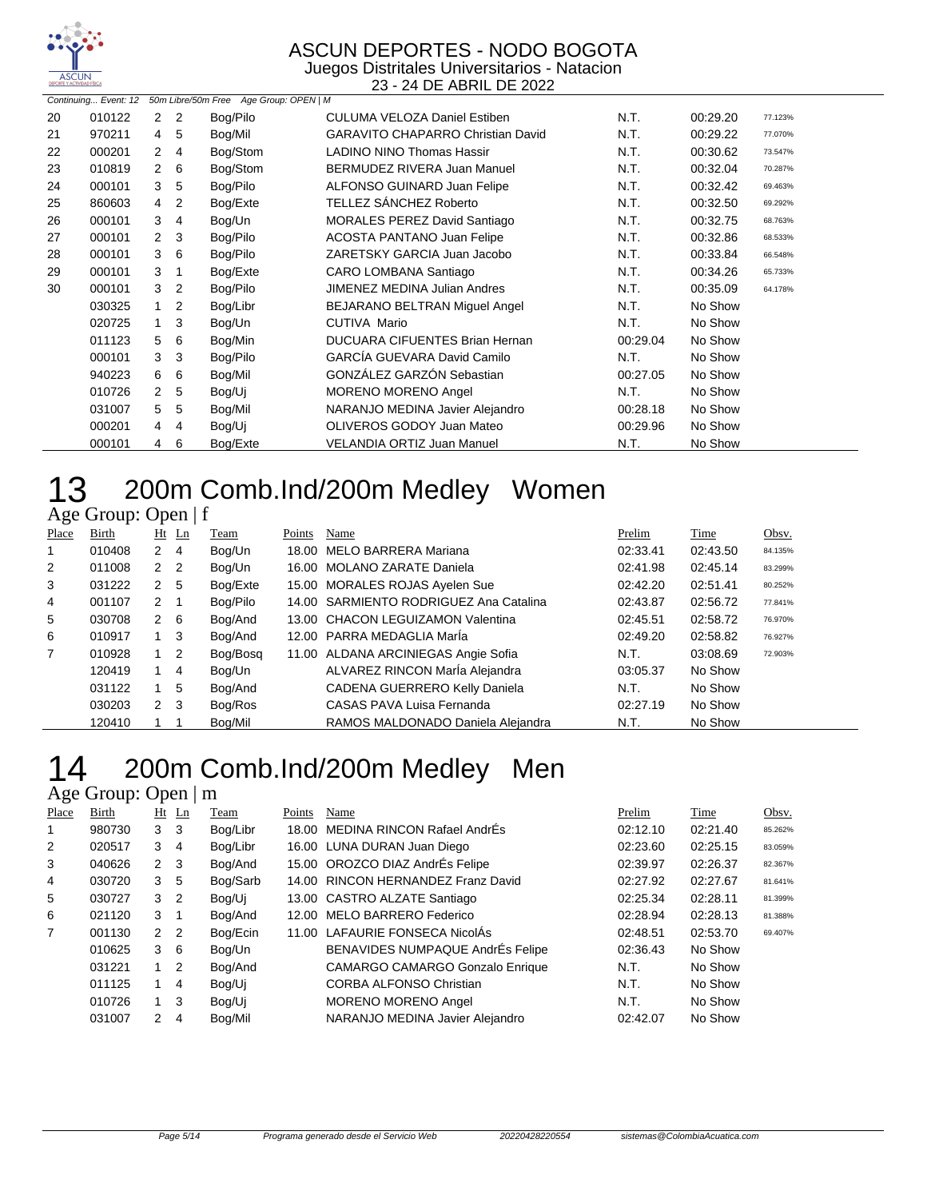

Juegos Distritales Universitarios - Natacion 23 - 24 DE ABRIL DE 2022

| 50m Libre/50m Free Age Group: OPEN   M<br>Continuing Event: 12 |        |                |                |          |                                          |          |          |         |
|----------------------------------------------------------------|--------|----------------|----------------|----------|------------------------------------------|----------|----------|---------|
| 20                                                             | 010122 | $\mathbf{2}$   | $\overline{2}$ | Bog/Pilo | <b>CULUMA VELOZA Daniel Estiben</b>      | N.T.     | 00:29.20 | 77.123% |
| 21                                                             | 970211 |                | 4 5            | Bog/Mil  | <b>GARAVITO CHAPARRO Christian David</b> | N.T.     | 00:29.22 | 77.070% |
| 22                                                             | 000201 | $\mathbf{2}$   | $\overline{4}$ | Bog/Stom | <b>LADINO NINO Thomas Hassir</b>         | N.T.     | 00:30.62 | 73.547% |
| 23                                                             | 010819 | $\mathbf{2}$   | - 6            | Bog/Stom | BERMUDEZ RIVERA Juan Manuel              | N.T.     | 00:32.04 | 70.287% |
| 24                                                             | 000101 | 3              | 5              | Bog/Pilo | ALFONSO GUINARD Juan Felipe              | N.T.     | 00:32.42 | 69.463% |
| 25                                                             | 860603 | 4              | 2              | Bog/Exte | TELLEZ SÁNCHEZ Roberto                   | N.T.     | 00:32.50 | 69.292% |
| 26                                                             | 000101 | 3              | $\overline{4}$ | Bog/Un   | <b>MORALES PEREZ David Santiago</b>      | N.T.     | 00:32.75 | 68.763% |
| 27                                                             | 000101 | $\mathbf{2}$   | -3             | Bog/Pilo | <b>ACOSTA PANTANO Juan Felipe</b>        | N.T.     | 00:32.86 | 68.533% |
| 28                                                             | 000101 | 3              | 6              | Bog/Pilo | ZARETSKY GARCIA Juan Jacobo              | N.T.     | 00:33.84 | 66.548% |
| 29                                                             | 000101 | 3              | -1             | Bog/Exte | CARO LOMBANA Santiago                    | N.T.     | 00:34.26 | 65.733% |
| 30                                                             | 000101 | 3              | $\overline{2}$ | Bog/Pilo | <b>JIMENEZ MEDINA Julian Andres</b>      | N.T.     | 00:35.09 | 64.178% |
|                                                                | 030325 | 1              | $\overline{2}$ | Bog/Libr | BEJARANO BELTRAN Miguel Angel            | N.T.     | No Show  |         |
|                                                                | 020725 | 1.             | 3              | Bog/Un   | CUTIVA Mario                             | N.T.     | No Show  |         |
|                                                                | 011123 | 5              | 6              | Bog/Min  | <b>DUCUARA CIFUENTES Brian Hernan</b>    | 00:29.04 | No Show  |         |
|                                                                | 000101 | 3              | -3             | Bog/Pilo | <b>GARCÍA GUEVARA David Camilo</b>       | N.T.     | No Show  |         |
|                                                                | 940223 | 6              | 6              | Bog/Mil  | GONZÁLEZ GARZÓN Sebastian                | 00:27.05 | No Show  |         |
|                                                                | 010726 | $\overline{2}$ | 5              | Bog/Uj   | <b>MORENO MORENO Angel</b>               | N.T.     | No Show  |         |
|                                                                | 031007 | 5              | 5              | Bog/Mil  | NARANJO MEDINA Javier Alejandro          | 00:28.18 | No Show  |         |
|                                                                | 000201 | $\overline{4}$ | -4             | Bog/Uj   | OLIVEROS GODOY Juan Mateo                | 00:29.96 | No Show  |         |
|                                                                | 000101 | 4              | 6              | Bog/Exte | VELANDIA ORTIZ Juan Manuel               | N.T.     | No Show  |         |

# 200m Comb.Ind/200m Medley Women

#### Age Group: Open | f

| Place | Birth  |                | $Ht$ Ln | Team     | Points | Name                                   | Prelim   | Time     | Obsv.   |
|-------|--------|----------------|---------|----------|--------|----------------------------------------|----------|----------|---------|
|       | 010408 | 2 4            |         | Bog/Un   |        | 18.00 MELO BARRERA Mariana             | 02:33.41 | 02:43.50 | 84.135% |
| 2     | 011008 | 2 <sub>2</sub> |         | Bog/Un   |        | 16.00 MOLANO ZARATE Daniela            | 02:41.98 | 02:45.14 | 83.299% |
| 3     | 031222 | 2              | 5       | Bog/Exte |        | 15.00 MORALES ROJAS Ayelen Sue         | 02:42.20 | 02:51.41 | 80.252% |
| 4     | 001107 | $2 \quad 1$    |         | Bog/Pilo |        | 14.00 SARMIENTO RODRIGUEZ Ana Catalina | 02:43.87 | 02:56.72 | 77.841% |
| 5     | 030708 | 2              | 6       | Bog/And  |        | 13.00 CHACON LEGUIZAMON Valentina      | 02:45.51 | 02:58.72 | 76.970% |
| 6     | 010917 | 1.             | 3       | Bog/And  |        | 12.00 PARRA MEDAGLIA Maria             | 02:49.20 | 02:58.82 | 76.927% |
| 7     | 010928 |                | 2       | Bog/Bosg |        | 11.00 ALDANA ARCINIEGAS Angie Sofia    | N.T.     | 03:08.69 | 72.903% |
|       | 120419 |                | 4       | Bog/Un   |        | ALVAREZ RINCON Maria Alejandra         | 03:05.37 | No Show  |         |
|       | 031122 |                | 5       | Bog/And  |        | CADENA GUERRERO Kelly Daniela          | N.T.     | No Show  |         |
|       | 030203 | $2 \quad 3$    |         | Bog/Ros  |        | CASAS PAVA Luisa Fernanda              | 02:27.19 | No Show  |         |
|       | 120410 |                |         | Bog/Mil  |        | RAMOS MALDONADO Daniela Alejandra      | N.T.     | No Show  |         |

# 200m Comb.Ind/200m Medley Men

| Place          | <b>Birth</b> |                | $Ht$ Ln        | Team     | Points | Name                                   | Prelim   | Time     | Obsv.   |
|----------------|--------------|----------------|----------------|----------|--------|----------------------------------------|----------|----------|---------|
|                | 980730       | 3              | 3              | Bog/Libr |        | 18.00 MEDINA RINCON Rafael AndrEs      | 02:12.10 | 02:21.40 | 85.262% |
| 2              | 020517       | 3              | $\overline{4}$ | Bog/Libr |        | 16.00 LUNA DURAN Juan Diego            | 02:23.60 | 02:25.15 | 83.059% |
| 3              | 040626       | 2              | -3             | Bog/And  |        | 15.00 OROZCO DIAZ AndrÉs Felipe        | 02:39.97 | 02:26.37 | 82.367% |
| 4              | 030720       | 3              | 5              | Bog/Sarb |        | 14.00 RINCON HERNANDEZ Franz David     | 02:27.92 | 02:27.67 | 81.641% |
| 5              | 030727       | 3              | $\overline{2}$ | Bog/Ui   |        | 13.00 CASTRO ALZATE Santiago           | 02:25.34 | 02:28.11 | 81.399% |
| 6              | 021120       | 3              | -1             | Bog/And  |        | 12.00 MELO BARRERO Federico            | 02:28.94 | 02:28.13 | 81.388% |
| $\overline{7}$ | 001130       | 2 <sub>2</sub> |                | Bog/Ecin |        | 11.00 LAFAURIE FONSECA NicolAs         | 02:48.51 | 02:53.70 | 69.407% |
|                | 010625       | 3              | -6             | Bog/Un   |        | BENAVIDES NUMPAQUE AndrÉs Felipe       | 02:36.43 | No Show  |         |
|                | 031221       | 1.             | 2              | Bog/And  |        | <b>CAMARGO CAMARGO Gonzalo Enrique</b> | N.T.     | No Show  |         |
|                | 011125       |                | 4              | Bog/Ui   |        | <b>CORBA ALFONSO Christian</b>         | N.T.     | No Show  |         |
|                | 010726       | 1.             | 3              | Bog/Ui   |        | <b>MORENO MORENO Angel</b>             | N.T.     | No Show  |         |
|                | 031007       | $\mathcal{P}$  | 4              | Bog/Mil  |        | NARANJO MEDINA Javier Alejandro        | 02:42.07 | No Show  |         |
|                |              |                |                |          |        |                                        |          |          |         |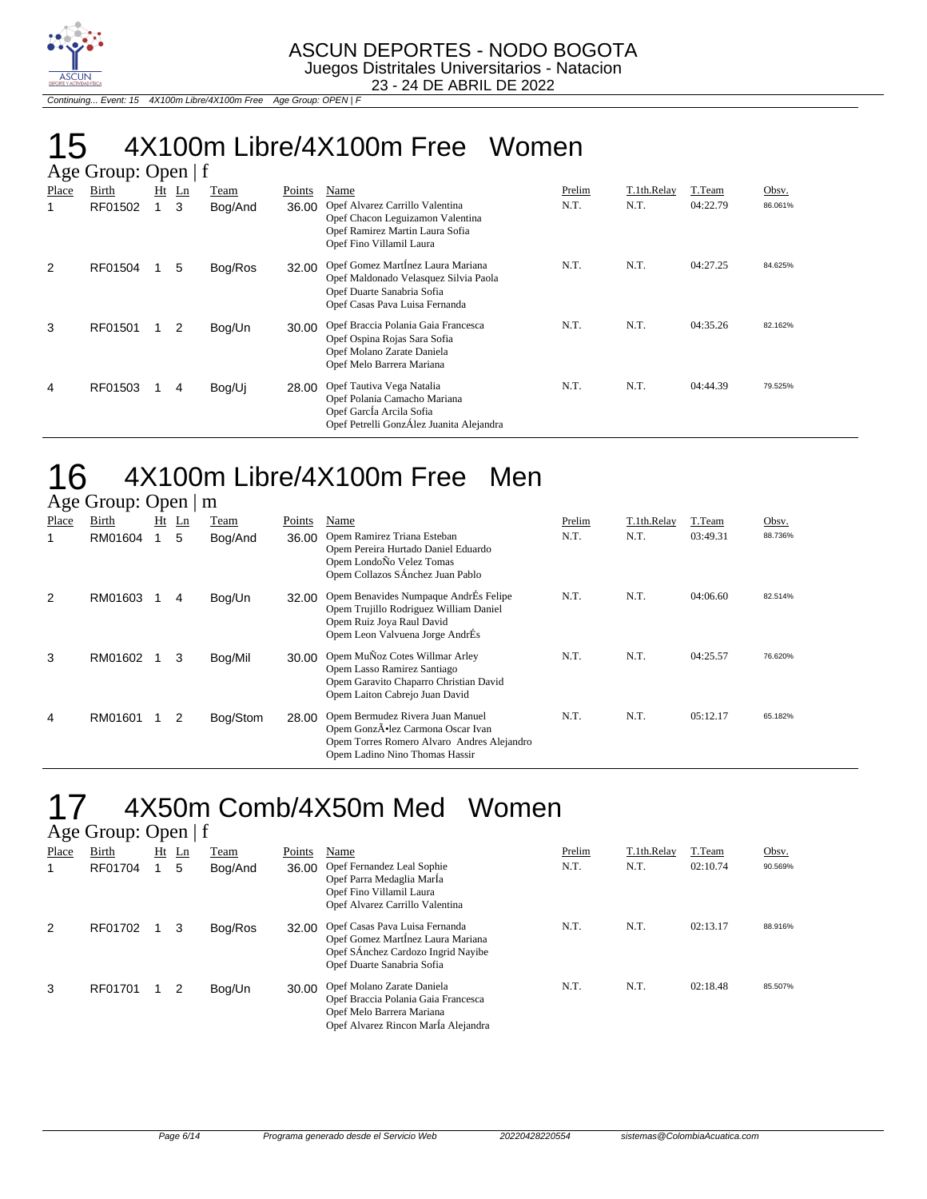

Continuing... Event: 15 4X100m Libre/4X100m Free Age Group: OPEN | F

# 15 4X100m Libre/4X100m Free Women

|       | Age Group: Open $ f $ |    |    |         |        |                                                                                                                                            |        |             |          |         |  |  |
|-------|-----------------------|----|----|---------|--------|--------------------------------------------------------------------------------------------------------------------------------------------|--------|-------------|----------|---------|--|--|
| Place | Birth                 | Ht | Ln | Team    | Points | Name                                                                                                                                       | Prelim | T.1th.Relay | T.Team   | Obsv.   |  |  |
| 1     | RF01502               |    | 3  | Bog/And | 36.00  | Opef Alvarez Carrillo Valentina<br>Opef Chacon Leguizamon Valentina<br>Opef Ramirez Martin Laura Sofia<br>Opef Fino Villamil Laura         | N.T.   | N.T.        | 04:22.79 | 86.061% |  |  |
| 2     | RF01504               |    | 5  | Bog/Ros | 32.00  | Opef Gomez MartÍnez Laura Mariana<br>Opef Maldonado Velasquez Silvia Paola<br>Opef Duarte Sanabria Sofia<br>Opef Casas Pava Luisa Fernanda | N.T.   | N.T.        | 04:27.25 | 84.625% |  |  |
| 3     | RF01501               |    | 2  | Bog/Un  | 30.00  | Opef Braccia Polania Gaia Francesca<br>Opef Ospina Rojas Sara Sofia<br>Opef Molano Zarate Daniela<br>Opef Melo Barrera Mariana             | N.T.   | N.T.        | 04:35.26 | 82.162% |  |  |
| 4     | RF01503               |    | 4  | Bog/Uj  | 28.00  | Opef Tautiva Vega Natalia<br>Opef Polania Camacho Mariana<br>Opef García Arcila Sofia<br>Opef Petrelli GonzÁlez Juanita Alejandra          | N.T.   | N.T.        | 04:44.39 | 79.525% |  |  |

#### 16 4X100m Libre/4X100m Free Men Age Group: Open | m

|       | $T_{\rm sc}$ or $T_{\rm s}$ or $T_{\rm s}$ or $T_{\rm s}$ and $T_{\rm s}$ |    |    |          |        |                                                                                                                                                      |        |             |          |         |  |  |
|-------|---------------------------------------------------------------------------|----|----|----------|--------|------------------------------------------------------------------------------------------------------------------------------------------------------|--------|-------------|----------|---------|--|--|
| Place | Birth                                                                     | Ht | Ln | Team     | Points | Name                                                                                                                                                 | Prelim | T.1th.Relay | T.Team   | Obsv.   |  |  |
|       | RM01604                                                                   |    | 5  | Bog/And  | 36.00  | Opem Ramirez Triana Esteban<br>Opem Pereira Hurtado Daniel Eduardo<br>Opem LondoÑo Velez Tomas<br>Opem Collazos SÁnchez Juan Pablo                   | N.T.   | N.T.        | 03:49.31 | 88.736% |  |  |
| 2     | RM01603                                                                   |    | 4  | Bog/Un   | 32.00  | Opem Benavides Numpaque AndrÉs Felipe<br>Opem Trujillo Rodriguez William Daniel<br>Opem Ruiz Joya Raul David<br>Opem Leon Valvuena Jorge AndrÉs      | N.T.   | N.T.        | 04:06.60 | 82.514% |  |  |
| 3     | RM01602                                                                   |    | 3  | Bog/Mil  | 30.00  | Opem MuÑoz Cotes Willmar Arley<br>Opem Lasso Ramirez Santiago<br>Opem Garavito Chaparro Christian David<br>Opem Laiton Cabrejo Juan David            | N.T.   | N.T.        | 04:25.57 | 76.620% |  |  |
| 4     | RM01601                                                                   |    | 2  | Bog/Stom | 28.00  | Opem Bermudez Rivera Juan Manuel<br>Opem GonzÕlez Carmona Oscar Ivan<br>Opem Torres Romero Alvaro Andres Alejandro<br>Opem Ladino Nino Thomas Hassir | N.T.   | N.T.        | 05:12.17 | 65.182% |  |  |

#### 17 4X50m Comb/4X50m Med Women Age Group: Open | f

|       | $T_{\rm{S}}$ Oroup. Open   1 |    |    |         |        |                                                                                                                                         |        |             |          |         |  |  |  |
|-------|------------------------------|----|----|---------|--------|-----------------------------------------------------------------------------------------------------------------------------------------|--------|-------------|----------|---------|--|--|--|
| Place | Birth                        | Ht | Ln | Team    | Points | Name                                                                                                                                    | Prelim | T.1th.Relay | T.Team   | Obsv.   |  |  |  |
|       | RF01704                      |    | 5  | Bog/And | 36.00  | Opef Fernandez Leal Sophie<br>Opef Parra Medaglia MarÍa<br>Opef Fino Villamil Laura<br>Opef Alvarez Carrillo Valentina                  | N.T.   | N.T.        | 02:10.74 | 90.569% |  |  |  |
| 2     | RF01702                      |    | 3  | Bog/Ros | 32.00  | Opef Casas Pava Luisa Fernanda<br>Opef Gomez MartÍnez Laura Mariana<br>Opef SÁnchez Cardozo Ingrid Nayibe<br>Opef Duarte Sanabria Sofia | N.T.   | N.T.        | 02:13.17 | 88.916% |  |  |  |
| 3     | RF01701                      |    |    | Bog/Un  | 30.00  | Opef Molano Zarate Daniela<br>Opef Braccia Polania Gaia Francesca<br>Opef Melo Barrera Mariana<br>Opef Alvarez Rincon Marla Alejandra   | N.T.   | N.T.        | 02:18.48 | 85.507% |  |  |  |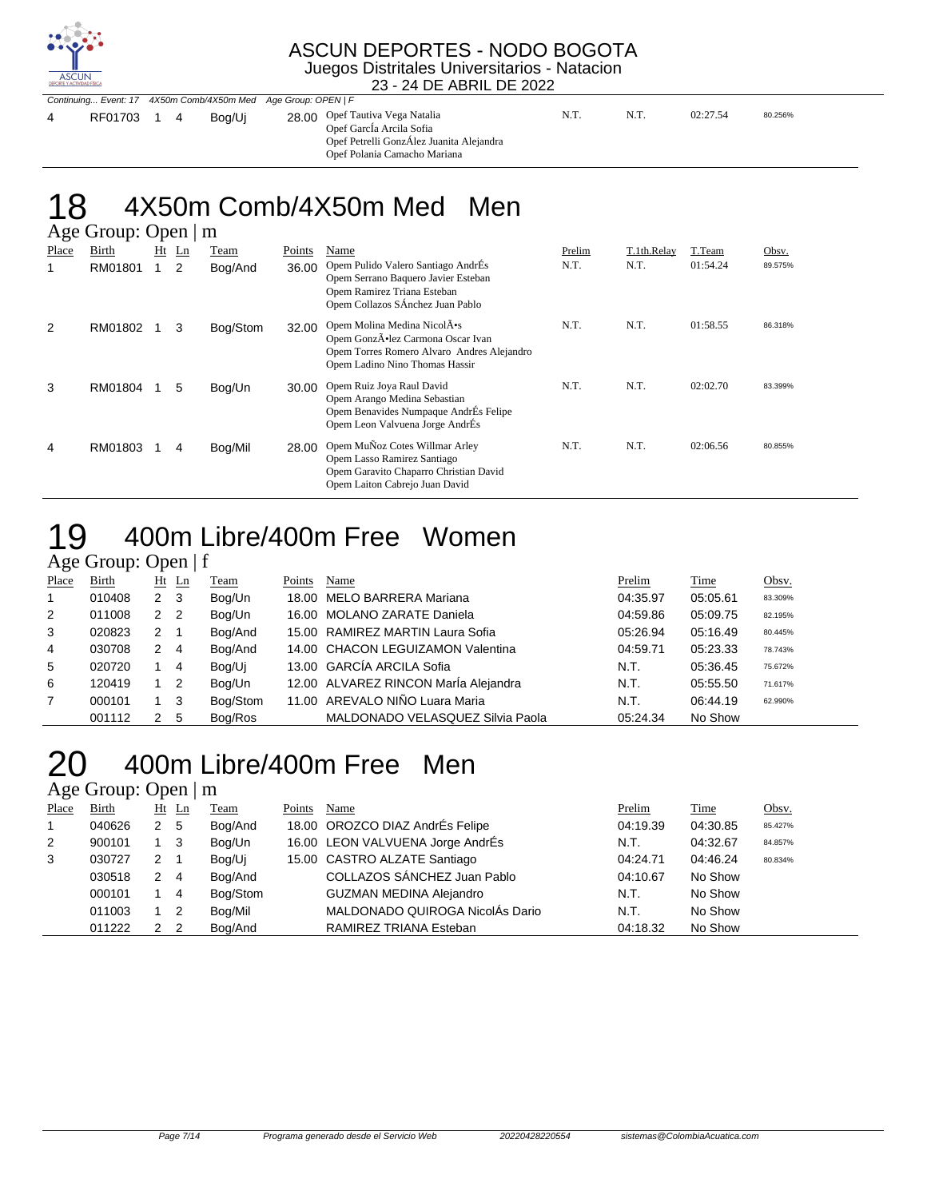

#### ASCUN DEPORTES - NODO BOGOTA Juegos Distritales Universitarios - Natacion

23 - 24 DE ABRIL DE 2022

| Continuing Event: 17 4X50m Comb/4X50m Med Age Group: OPEN   F |  |  |        |                                                                                                                                         |      |      |          |         |
|---------------------------------------------------------------|--|--|--------|-----------------------------------------------------------------------------------------------------------------------------------------|------|------|----------|---------|
| RF01703 1 4                                                   |  |  | Boa/Ui | 28.00 Opef Tautiva Vega Natalia<br>Opef GarcIa Arcila Sofia<br>Opef Petrelli GonzÁlez Juanita Alejandra<br>Opef Polania Camacho Mariana | N.T. | N.T. | 02:27.54 | 80.256% |

#### 8 4X50m Comb/4X50m Med Men  $\Gamma$

|              | $A\&\sigma$ Oroup. Open $\ $ III |    |    |          |        |                                                                                                                                                 |        |             |          |         |  |  |
|--------------|----------------------------------|----|----|----------|--------|-------------------------------------------------------------------------------------------------------------------------------------------------|--------|-------------|----------|---------|--|--|
| <b>Place</b> | Birth                            | Ht | Ln | Team     | Points | Name                                                                                                                                            | Prelim | T.1th.Relay | T.Team   | Obsv.   |  |  |
| 1            | RM01801                          |    | 2  | Bog/And  | 36.00  | Opem Pulido Valero Santiago AndrÉs<br>Opem Serrano Baquero Javier Esteban<br>Opem Ramirez Triana Esteban<br>Opem Collazos SÁnchez Juan Pablo    | N.T.   | N.T.        | 01:54.24 | 89.575% |  |  |
| 2            | RM01802                          |    | 3  | Bog/Stom | 32.00  | Opem Molina Medina NicolA•s<br>Opem GonzÕlez Carmona Oscar Ivan<br>Opem Torres Romero Alvaro Andres Alejandro<br>Opem Ladino Nino Thomas Hassir | N.T.   | N.T.        | 01:58.55 | 86.318% |  |  |
| 3            | RM01804                          |    | 5  | Bog/Un   | 30.00  | Opem Ruiz Joya Raul David<br>Opem Arango Medina Sebastian<br>Opem Benavides Numpaque AndrÉs Felipe<br>Opem Leon Valvuena Jorge AndrÉs           | N.T.   | N.T.        | 02:02.70 | 83.399% |  |  |
| 4            | RM01803                          |    | 4  | Bog/Mil  | 28.00  | Opem MuÑoz Cotes Willmar Arley<br>Opem Lasso Ramirez Santiago<br>Opem Garavito Chaparro Christian David<br>Opem Laiton Cabrejo Juan David       | N.T.   | N.T.        | 02:06.56 | 80.855% |  |  |

### 19 400m Libre/400m Free Women

### Age Group: Open | f

| Place | <b>Birth</b> |                | $Ht$ Ln | <b>Team</b> | Points | Name                                 | Prelim   | <b>Time</b> | Obsv.   |
|-------|--------------|----------------|---------|-------------|--------|--------------------------------------|----------|-------------|---------|
|       | 010408       | 2 <sub>3</sub> |         | Bog/Un      |        | 18.00 MELO BARRERA Mariana           | 04:35.97 | 05:05.61    | 83.309% |
| 2     | 011008       | 2 <sub>2</sub> |         | Bog/Un      |        | 16.00 MOLANO ZARATE Daniela          | 04:59.86 | 05:09.75    | 82.195% |
| 3     | 020823       | $2 \quad 1$    |         | Bog/And     |        | 15.00 RAMIREZ MARTIN Laura Sofia     | 05:26.94 | 05:16.49    | 80.445% |
| 4     | 030708       | $2 \quad 4$    |         | Bog/And     |        | 14.00 CHACON LEGUIZAMON Valentina    | 04:59.71 | 05:23.33    | 78.743% |
| 5     | 020720       |                | -4      | Bog/Uj      |        | 13.00 GARCÍA ARCILA Sofia            | N.T.     | 05:36.45    | 75.672% |
| 6     | 120419       | $1\quad 2$     |         | Bog/Un      |        | 12.00 ALVAREZ RINCON María Alejandra | N.T.     | 05:55.50    | 71.617% |
| 7     | 000101       | $1 \quad 3$    |         | Bog/Stom    |        | 11.00 AREVALO NIÑO Luara Maria       | N.T.     | 06:44.19    | 62.990% |
|       | 001112       | $\mathcal{P}$  | - 5     | Bog/Ros     |        | MALDONADO VELASQUEZ Silvia Paola     | 05:24.34 | No Show     |         |

### 20 400m Libre/400m Free Men

| Place          | Birth  |                      | $Ht$ Ln        | <b>Team</b> | Points | Name                             | Prelim   | Time     | Obsv.   |
|----------------|--------|----------------------|----------------|-------------|--------|----------------------------------|----------|----------|---------|
| $\overline{1}$ | 040626 | $\mathbf{2}^{\circ}$ | - 5            | Bog/And     |        | 18.00 OROZCO DIAZ AndrÉs Felipe  | 04:19.39 | 04:30.85 | 85.427% |
| 2              | 900101 | 1 3                  |                | Bog/Un      |        | 16.00 LEON VALVUENA Jorge AndrÉs | N.T.     | 04:32.67 | 84.857% |
| 3              | 030727 | 2                    |                | Bog/Uj      |        | 15.00 CASTRO ALZATE Santiago     | 04:24.71 | 04:46.24 | 80.834% |
|                | 030518 | 2                    | $\overline{4}$ | Bog/And     |        | COLLAZOS SÁNCHEZ Juan Pablo      | 04:10.67 | No Show  |         |
|                | 000101 |                      | -4             | Bog/Stom    |        | <b>GUZMAN MEDINA Alejandro</b>   | N.T.     | No Show  |         |
|                | 011003 | $1\quad 2$           |                | Bog/Mil     |        | MALDONADO QUIROGA NicolÁs Dario  | N.T.     | No Show  |         |
|                | 011222 | $\mathcal{P}$        | -2             | Bog/And     |        | RAMIREZ TRIANA Esteban           | 04:18.32 | No Show  |         |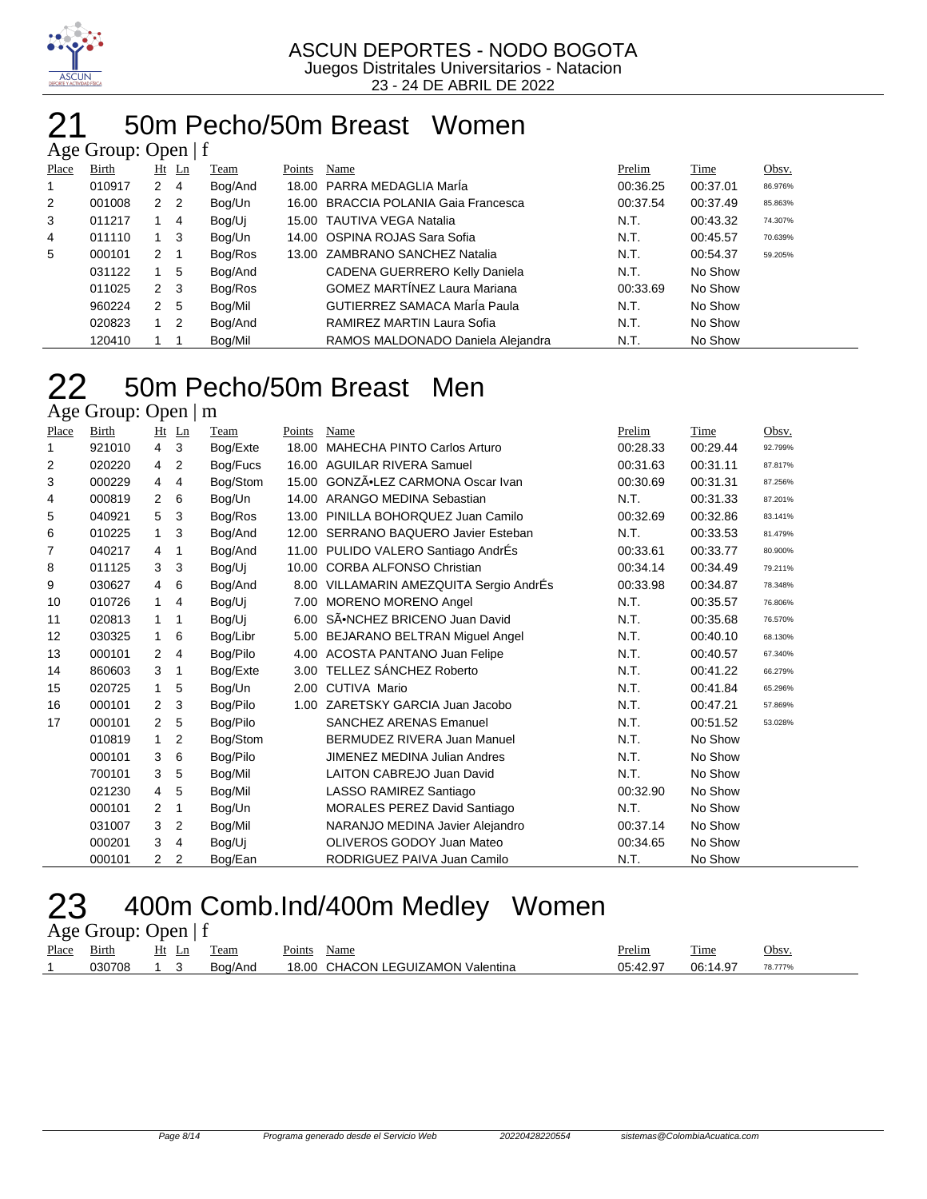

#### 50m Pecho/50m Breast Women  $G$ roup: Open  $\pm f$

|       | $\Delta$ ge Oroup. Open   1 |                |         |         |        |                                      |          |          |         |  |  |  |  |
|-------|-----------------------------|----------------|---------|---------|--------|--------------------------------------|----------|----------|---------|--|--|--|--|
| Place | Birth                       |                | $Ht$ Ln | Team    | Points | Name                                 | Prelim   | Time     | Obsv.   |  |  |  |  |
|       | 010917                      | $2 \quad 4$    |         | Bog/And |        | 18.00 PARRA MEDAGLIA Maria           | 00:36.25 | 00:37.01 | 86.976% |  |  |  |  |
| 2     | 001008                      | 2 2            |         | Bog/Un  |        | 16.00 BRACCIA POLANIA Gaia Francesca | 00:37.54 | 00:37.49 | 85.863% |  |  |  |  |
| 3     | 011217                      |                | 4       | Bog/Uj  |        | 15.00 TAUTIVA VEGA Natalia           | N.T.     | 00:43.32 | 74.307% |  |  |  |  |
| 4     | 011110                      |                | - 3     | Bog/Un  |        | 14.00 OSPINA ROJAS Sara Sofia        | N.T.     | 00:45.57 | 70.639% |  |  |  |  |
| 5     | 000101                      | $2 \quad 1$    |         | Bog/Ros |        | 13.00 ZAMBRANO SANCHEZ Natalia       | N.T.     | 00:54.37 | 59.205% |  |  |  |  |
|       | 031122                      |                | 5       | Bog/And |        | CADENA GUERRERO Kelly Daniela        | N.T.     | No Show  |         |  |  |  |  |
|       | 011025                      | $2 \quad 3$    |         | Bog/Ros |        | <b>GOMEZ MARTÍNEZ Laura Mariana</b>  | 00:33.69 | No Show  |         |  |  |  |  |
|       | 960224                      | 2 <sub>5</sub> |         | Bog/Mil |        | <b>GUTIERREZ SAMACA MarÍa Paula</b>  | N.T.     | No Show  |         |  |  |  |  |
|       | 020823                      | $1\quad 2$     |         | Bog/And |        | RAMIREZ MARTIN Laura Sofia           | N.T.     | No Show  |         |  |  |  |  |
|       | 120410                      |                |         | Bog/Mil |        | RAMOS MALDONADO Daniela Alejandra    | N.T.     | No Show  |         |  |  |  |  |

### 22 50m Pecho/50m Breast Men

Age Group: Open | m

| Place | Birth  | Ht             | Ln | Team     | Points | Name                                    | Prelim   | Time     | Obsv.   |
|-------|--------|----------------|----|----------|--------|-----------------------------------------|----------|----------|---------|
| 1     | 921010 | $\overline{4}$ | 3  | Bog/Exte | 18.00  | <b>MAHECHA PINTO Carlos Arturo</b>      | 00:28.33 | 00:29.44 | 92.799% |
| 2     | 020220 | 4              | 2  | Bog/Fucs | 16.00  | <b>AGUILAR RIVERA Samuel</b>            | 00:31.63 | 00:31.11 | 87.817% |
| 3     | 000229 | 4              | 4  | Bog/Stom | 15.00  | GONZÃ.LEZ CARMONA Oscar Ivan            | 00:30.69 | 00:31.31 | 87.256% |
| 4     | 000819 | 2              | 6  | Bog/Un   | 14.00  | ARANGO MEDINA Sebastian                 | N.T.     | 00:31.33 | 87.201% |
| 5     | 040921 | 5              | 3  | Bog/Ros  | 13.00  | PINILLA BOHORQUEZ Juan Camilo           | 00:32.69 | 00:32.86 | 83.141% |
| 6     | 010225 | $\mathbf{1}$   | 3  | Bog/And  | 12.00  | SERRANO BAQUERO Javier Esteban          | N.T.     | 00:33.53 | 81.479% |
| 7     | 040217 | 4              | 1  | Bog/And  |        | 11.00 PULIDO VALERO Santiago AndrÉs     | 00:33.61 | 00:33.77 | 80.900% |
| 8     | 011125 | 3              | 3  | Bog/Ui   |        | 10.00 CORBA ALFONSO Christian           | 00:34.14 | 00:34.49 | 79.211% |
| 9     | 030627 | $\overline{4}$ | 6  | Bog/And  |        | 8.00 VILLAMARIN AMEZQUITA Sergio AndrÉs | 00:33.98 | 00:34.87 | 78.348% |
| 10    | 010726 | $\mathbf{1}$   | 4  | Bog/Uj   |        | 7.00 MORENO MORENO Angel                | N.T.     | 00:35.57 | 76.806% |
| 11    | 020813 | $\mathbf{1}$   | 1  | Bog/Ui   | 6.00   | SÃ.NCHEZ BRICENO Juan David             | N.T.     | 00:35.68 | 76.570% |
| 12    | 030325 | $\mathbf{1}$   | 6  | Bog/Libr | 5.00   | BEJARANO BELTRAN Miguel Angel           | N.T.     | 00:40.10 | 68.130% |
| 13    | 000101 | 2              | 4  | Bog/Pilo | 4.00   | ACOSTA PANTANO Juan Felipe              | N.T.     | 00:40.57 | 67.340% |
| 14    | 860603 | 3              | 1  | Bog/Exte | 3.00   | TELLEZ SÁNCHEZ Roberto                  | N.T.     | 00:41.22 | 66.279% |
| 15    | 020725 | $\mathbf{1}$   | 5  | Bog/Un   | 2.00   | CUTIVA Mario                            | N.T.     | 00:41.84 | 65.296% |
| 16    | 000101 | 2              | 3  | Bog/Pilo |        | 1.00 ZARETSKY GARCIA Juan Jacobo        | N.T.     | 00:47.21 | 57.869% |
| 17    | 000101 | 2              | 5  | Bog/Pilo |        | <b>SANCHEZ ARENAS Emanuel</b>           | N.T.     | 00:51.52 | 53.028% |
|       | 010819 | 1.             | 2  | Bog/Stom |        | BERMUDEZ RIVERA Juan Manuel             | N.T.     | No Show  |         |
|       | 000101 | 3              | 6  | Bog/Pilo |        | <b>JIMENEZ MEDINA Julian Andres</b>     | N.T.     | No Show  |         |
|       | 700101 | 3              | 5  | Bog/Mil  |        | <b>LAITON CABREJO Juan David</b>        | N.T.     | No Show  |         |
|       | 021230 | 4              | 5  | Bog/Mil  |        | LASSO RAMIREZ Santiago                  | 00:32.90 | No Show  |         |
|       | 000101 | 2              | 1  | Bog/Un   |        | <b>MORALES PEREZ David Santiago</b>     | N.T.     | No Show  |         |
|       | 031007 | 3              | 2  | Bog/Mil  |        | NARANJO MEDINA Javier Alejandro         | 00:37.14 | No Show  |         |
|       | 000201 | 3              | 4  | Bog/Ui   |        | OLIVEROS GODOY Juan Mateo               | 00:34.65 | No Show  |         |
|       | 000101 | $\overline{2}$ | 2  | Bog/Ean  |        | RODRIGUEZ PAIVA Juan Camilo             | N.T.     | No Show  |         |

### 23 400m Comb.Ind/400m Medley Women

| Age Group: Open $ f $ |              |    |       |         |        |                                   |               |          |         |  |  |  |
|-----------------------|--------------|----|-------|---------|--------|-----------------------------------|---------------|----------|---------|--|--|--|
| <u>Place</u>          | <b>Birth</b> |    | Ht Ln | Team    | Points | Name                              | <b>Prelim</b> | Time     | Obsv.   |  |  |  |
|                       | 030708       | 13 |       | Boa/And |        | 18.00 CHACON LEGUIZAMON Valentina | 05:42.97      | 06:14.97 | 78.777% |  |  |  |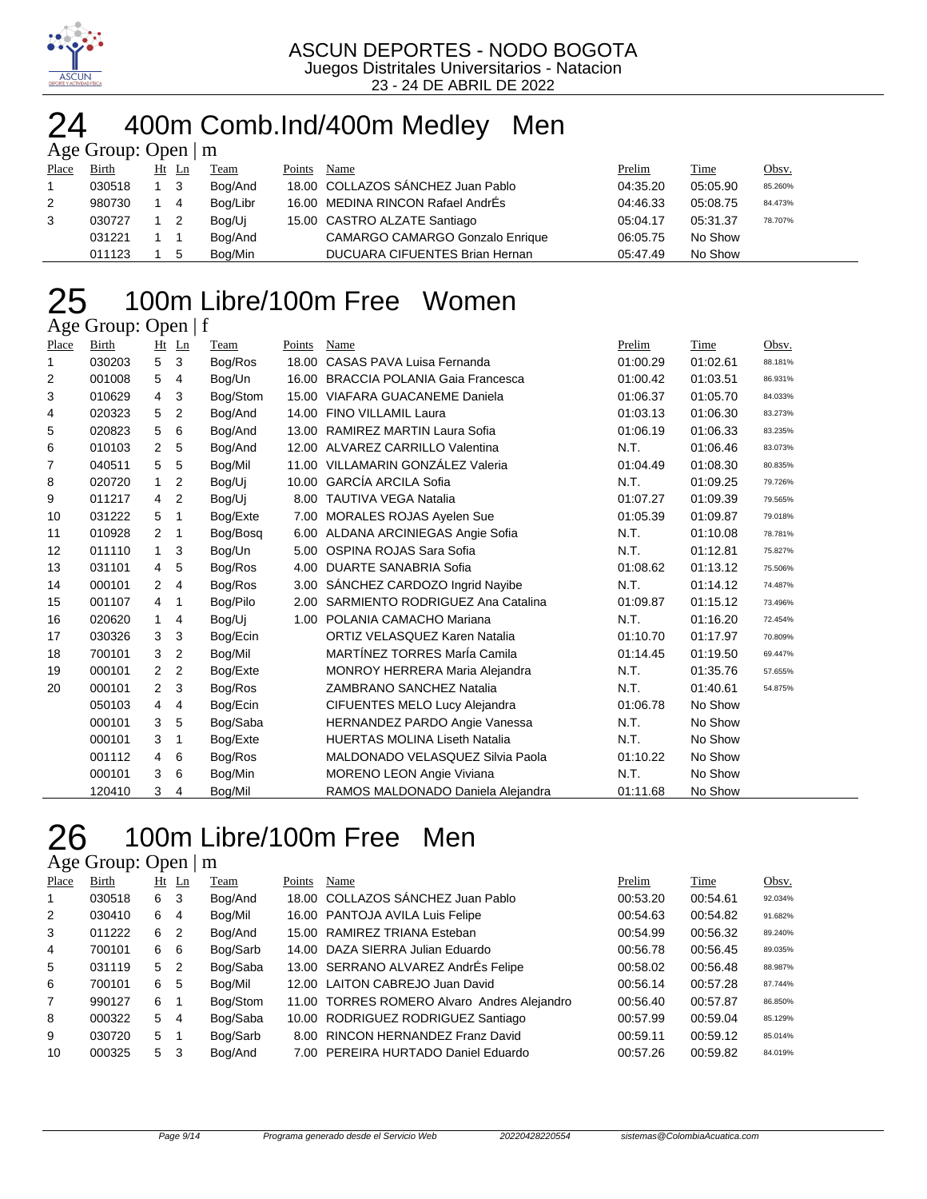

## 24 400m Comb.Ind/400m Medley Men

|       | Age Group: Open $\mid$ m |             |       |          |        |                                        |          |          |         |  |  |  |  |
|-------|--------------------------|-------------|-------|----------|--------|----------------------------------------|----------|----------|---------|--|--|--|--|
| Place | Birth                    |             | Ht Ln | Team     | Points | Name                                   | Prelim   | Time     | Obsv.   |  |  |  |  |
|       | 030518                   | $1 \quad 3$ |       | Bog/And  |        | 18.00 COLLAZOS SÁNCHEZ Juan Pablo      | 04:35.20 | 05:05.90 | 85.260% |  |  |  |  |
| 2     | 980730                   | $1 \quad 4$ |       | Bog/Libr |        | 16.00 MEDINA RINCON Rafael AndrÉs      | 04:46.33 | 05:08.75 | 84.473% |  |  |  |  |
| 3     | 030727                   | $1\quad 2$  |       | Bog/Ui   |        | 15.00 CASTRO ALZATE Santiago           | 05:04.17 | 05:31.37 | 78.707% |  |  |  |  |
|       | 031221                   |             |       | Bog/And  |        | <b>CAMARGO CAMARGO Gonzalo Enrique</b> | 06:05.75 | No Show  |         |  |  |  |  |
|       | 011123                   |             | -5    | Bog/Min  |        | <b>DUCUARA CIFUENTES Brian Hernan</b>  | 05:47.49 | No Show  |         |  |  |  |  |

#### 100m Libre/100m Free Women  $\overline{A}$ ge Group: Open | f

| 1.80  | $O(10\mu)$ . $O(10\mu)$ |                |    |          |        |                                       |          |          |         |
|-------|-------------------------|----------------|----|----------|--------|---------------------------------------|----------|----------|---------|
| Place | <b>Birth</b>            | Ht             | Ln | Team     | Points | Name                                  | Prelim   | Time     | Obsv.   |
| 1     | 030203                  | 5              | 3  | Bog/Ros  |        | 18.00 CASAS PAVA Luisa Fernanda       | 01:00.29 | 01:02.61 | 88.181% |
| 2     | 001008                  | 5              | 4  | Bog/Un   | 16.00  | <b>BRACCIA POLANIA Gaia Francesca</b> | 01:00.42 | 01:03.51 | 86.931% |
| 3     | 010629                  | $\overline{4}$ | 3  | Bog/Stom |        | 15.00 VIAFARA GUACANEME Daniela       | 01:06.37 | 01:05.70 | 84.033% |
| 4     | 020323                  | 5              | 2  | Bog/And  |        | 14.00 FINO VILLAMIL Laura             | 01:03.13 | 01:06.30 | 83.273% |
| 5     | 020823                  | 5              | 6  | Bog/And  |        | 13.00 RAMIREZ MARTIN Laura Sofia      | 01:06.19 | 01:06.33 | 83.235% |
| 6     | 010103                  | $\overline{2}$ | 5  | Bog/And  |        | 12.00 ALVAREZ CARRILLO Valentina      | N.T.     | 01:06.46 | 83.073% |
| 7     | 040511                  | 5              | 5  | Bog/Mil  |        | 11.00 VILLAMARIN GONZÁLEZ Valeria     | 01:04.49 | 01:08.30 | 80.835% |
| 8     | 020720                  | $\mathbf{1}$   | 2  | Bog/Uj   |        | 10.00 GARCÍA ARCILA Sofia             | N.T.     | 01:09.25 | 79.726% |
| 9     | 011217                  | 4              | 2  | Bog/Uj   |        | 8.00 TAUTIVA VEGA Natalia             | 01:07.27 | 01:09.39 | 79.565% |
| 10    | 031222                  | 5              | 1  | Bog/Exte |        | 7.00 MORALES ROJAS Ayelen Sue         | 01:05.39 | 01:09.87 | 79.018% |
| 11    | 010928                  | 2              | 1  | Bog/Bosg |        | 6.00 ALDANA ARCINIEGAS Angie Sofia    | N.T.     | 01:10.08 | 78.781% |
| 12    | 011110                  | $\mathbf{1}$   | 3  | Bog/Un   |        | 5.00 OSPINA ROJAS Sara Sofia          | N.T.     | 01:12.81 | 75.827% |
| 13    | 031101                  | 4              | 5  | Bog/Ros  | 4.00   | DUARTE SANABRIA Sofia                 | 01:08.62 | 01:13.12 | 75.506% |
| 14    | 000101                  | 2              | 4  | Bog/Ros  |        | 3.00 SANCHEZ CARDOZO Ingrid Nayibe    | N.T.     | 01:14.12 | 74.487% |
| 15    | 001107                  | 4              | 1  | Bog/Pilo |        | 2.00 SARMIENTO RODRIGUEZ Ana Catalina | 01:09.87 | 01:15.12 | 73.496% |
| 16    | 020620                  | $\mathbf{1}$   | 4  | Bog/Uj   |        | 1.00 POLANIA CAMACHO Mariana          | N.T.     | 01:16.20 | 72.454% |
| 17    | 030326                  | 3              | 3  | Bog/Ecin |        | ORTIZ VELASQUEZ Karen Natalia         | 01:10.70 | 01:17.97 | 70.809% |
| 18    | 700101                  | 3              | 2  | Bog/Mil  |        | MARTÍNEZ TORRES MarÍa Camila          | 01:14.45 | 01:19.50 | 69.447% |
| 19    | 000101                  | $\overline{2}$ | 2  | Bog/Exte |        | <b>MONROY HERRERA Maria Alejandra</b> | N.T.     | 01:35.76 | 57.655% |
| 20    | 000101                  | $\overline{2}$ | 3  | Bog/Ros  |        | ZAMBRANO SANCHEZ Natalia              | N.T.     | 01:40.61 | 54.875% |
|       | 050103                  | 4              | 4  | Bog/Ecin |        | CIFUENTES MELO Lucy Alejandra         | 01:06.78 | No Show  |         |
|       | 000101                  | 3              | 5  | Bog/Saba |        | HERNANDEZ PARDO Angie Vanessa         | N.T.     | No Show  |         |
|       | 000101                  | 3              | 1  | Bog/Exte |        | <b>HUERTAS MOLINA Liseth Natalia</b>  | N.T.     | No Show  |         |
|       | 001112                  | 4              | 6  | Bog/Ros  |        | MALDONADO VELASQUEZ Silvia Paola      | 01:10.22 | No Show  |         |
|       | 000101                  | 3              | 6  | Bog/Min  |        | <b>MORENO LEON Angie Viviana</b>      | N.T.     | No Show  |         |
|       | 120410                  | 3              | 4  | Bog/Mil  |        | RAMOS MALDONADO Daniela Alejandra     | 01:11.68 | No Show  |         |

### 100m Libre/100m Free Men

| Place          | <b>Birth</b> |                | $Ht$ Ln        | Team     | Points | Name                                        | Prelim   | Time     | Obsv.   |
|----------------|--------------|----------------|----------------|----------|--------|---------------------------------------------|----------|----------|---------|
| $\mathbf{1}$   | 030518       | 6              | -3             | Bog/And  |        | 18.00 COLLAZOS SÁNCHEZ Juan Pablo           | 00:53.20 | 00:54.61 | 92.034% |
| 2              | 030410       | 6              | $\overline{4}$ | Bog/Mil  |        | 16.00 PANTOJA AVILA Luis Felipe             | 00:54.63 | 00:54.82 | 91.682% |
| 3              | 011222       | 6              | $\overline{2}$ | Bog/And  | 15.00  | RAMIREZ TRIANA Esteban                      | 00:54.99 | 00:56.32 | 89.240% |
| 4              | 700101       | 6              | - 6            | Bog/Sarb |        | 14.00 DAZA SIERRA Julian Eduardo            | 00:56.78 | 00:56.45 | 89.035% |
| 5              | 031119       | 5              | $\overline{2}$ | Bog/Saba |        | 13.00 SERRANO ALVAREZ AndrEs Felipe         | 00:58.02 | 00:56.48 | 88.987% |
| 6              | 700101       | 6 5            |                | Bog/Mil  |        | 12.00 LAITON CABREJO Juan David             | 00:56.14 | 00:57.28 | 87.744% |
| $\overline{7}$ | 990127       | 6              |                | Bog/Stom |        | 11.00 TORRES ROMERO Alvaro Andres Alejandro | 00:56.40 | 00:57.87 | 86.850% |
| 8              | 000322       | 5 <sub>4</sub> |                | Bog/Saba | 10.00  | RODRIGUEZ RODRIGUEZ Santiago                | 00:57.99 | 00:59.04 | 85.129% |
| 9              | 030720       | 5              |                | Bog/Sarb | 8.00   | <b>RINCON HERNANDEZ Franz David</b>         | 00:59.11 | 00:59.12 | 85.014% |
| 10             | 000325       | 5              | - 3            | Bog/And  |        | 7.00 PEREIRA HURTADO Daniel Eduardo         | 00:57.26 | 00:59.82 | 84.019% |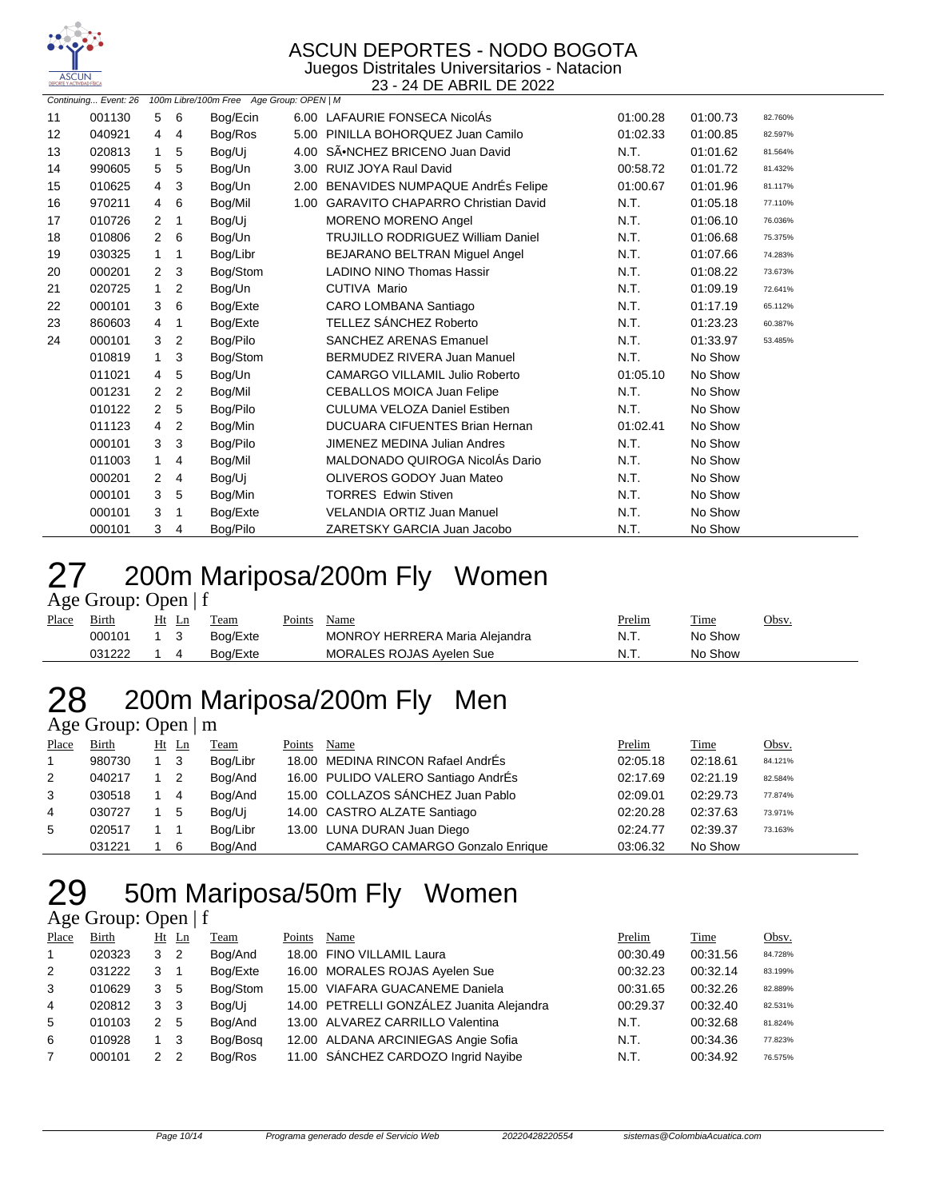

Juegos Distritales Universitarios - Natacion 23 - 24 DE ABRIL DE 2022

|    |        | Continuing Event: 26 100m Libre/100m Free Age Group: OPEN   M |                |          |      |                                          |          |          |         |  |
|----|--------|---------------------------------------------------------------|----------------|----------|------|------------------------------------------|----------|----------|---------|--|
| 11 | 001130 | 5                                                             | 6              | Bog/Ecin |      | 6.00 LAFAURIE FONSECA NicolAs            | 01:00.28 | 01:00.73 | 82.760% |  |
| 12 | 040921 | 4                                                             | $\overline{4}$ | Bog/Ros  |      | 5.00 PINILLA BOHORQUEZ Juan Camilo       | 01:02.33 | 01:00.85 | 82.597% |  |
| 13 | 020813 | $\mathbf{1}$                                                  | 5              | Bog/Uj   |      | 4.00 SÃ.NCHEZ BRICENO Juan David         | N.T.     | 01:01.62 | 81.564% |  |
| 14 | 990605 | 5                                                             | 5              | Bog/Un   |      | 3.00 RUIZ JOYA Raul David                | 00:58.72 | 01:01.72 | 81.432% |  |
| 15 | 010625 | 4                                                             | 3              | Bog/Un   |      | 2.00 BENAVIDES NUMPAQUE AndrEs Felipe    | 01:00.67 | 01:01.96 | 81.117% |  |
| 16 | 970211 | 4                                                             | 6              | Bog/Mil  | 1.00 | <b>GARAVITO CHAPARRO Christian David</b> | N.T.     | 01:05.18 | 77.110% |  |
| 17 | 010726 | 2                                                             | $\mathbf 1$    | Bog/Uj   |      | <b>MORENO MORENO Angel</b>               | N.T.     | 01:06.10 | 76.036% |  |
| 18 | 010806 | $\overline{2}$                                                | 6              | Bog/Un   |      | <b>TRUJILLO RODRIGUEZ William Daniel</b> | N.T.     | 01:06.68 | 75.375% |  |
| 19 | 030325 | 1                                                             | -1             | Bog/Libr |      | BEJARANO BELTRAN Miquel Angel            | N.T.     | 01:07.66 | 74.283% |  |
| 20 | 000201 | 2                                                             | 3              | Bog/Stom |      | <b>LADINO NINO Thomas Hassir</b>         | N.T.     | 01:08.22 | 73.673% |  |
| 21 | 020725 | $\mathbf{1}$                                                  | 2              | Bog/Un   |      | <b>CUTIVA Mario</b>                      | N.T.     | 01:09.19 | 72.641% |  |
| 22 | 000101 | 3                                                             | 6              | Bog/Exte |      | CARO LOMBANA Santiago                    | N.T.     | 01:17.19 | 65.112% |  |
| 23 | 860603 | 4                                                             | $\mathbf 1$    | Bog/Exte |      | TELLEZ SÁNCHEZ Roberto                   | N.T.     | 01:23.23 | 60.387% |  |
| 24 | 000101 | 3                                                             | 2              | Bog/Pilo |      | <b>SANCHEZ ARENAS Emanuel</b>            | N.T.     | 01:33.97 | 53.485% |  |
|    | 010819 | $\mathbf{1}$                                                  | 3              | Bog/Stom |      | BERMUDEZ RIVERA Juan Manuel              | N.T.     | No Show  |         |  |
|    | 011021 | 4                                                             | 5              | Bog/Un   |      | <b>CAMARGO VILLAMIL Julio Roberto</b>    | 01:05.10 | No Show  |         |  |
|    | 001231 | 2                                                             | 2              | Bog/Mil  |      | CEBALLOS MOICA Juan Felipe               | N.T.     | No Show  |         |  |
|    | 010122 | 2                                                             | 5              | Bog/Pilo |      | <b>CULUMA VELOZA Daniel Estiben</b>      | N.T.     | No Show  |         |  |
|    | 011123 | 4                                                             | 2              | Bog/Min  |      | <b>DUCUARA CIFUENTES Brian Hernan</b>    | 01:02.41 | No Show  |         |  |
|    | 000101 | 3                                                             | 3              | Bog/Pilo |      | <b>JIMENEZ MEDINA Julian Andres</b>      | N.T.     | No Show  |         |  |
|    | 011003 | 1.                                                            | 4              | Bog/Mil  |      | MALDONADO QUIROGA NicolÁs Dario          | N.T.     | No Show  |         |  |
|    | 000201 | 2                                                             | $\overline{4}$ | Bog/Uj   |      | OLIVEROS GODOY Juan Mateo                | N.T.     | No Show  |         |  |
|    | 000101 | 3                                                             | 5              | Bog/Min  |      | <b>TORRES</b> Edwin Stiven               | N.T.     | No Show  |         |  |
|    | 000101 | 3                                                             | -1             | Bog/Exte |      | <b>VELANDIA ORTIZ Juan Manuel</b>        | N.T.     | No Show  |         |  |
|    | 000101 | 3                                                             | 4              | Boa/Pilo |      | ZARETSKY GARCIA Juan Jacobo              | N.T.     | No Show  |         |  |

## 27 200m Mariposa/200m Fly Women

Age Group: Open | f

| Place | $-777$ $-777$ $-777$ $-777$ $-777$<br><u>Birth</u> | Ht Ln | Team     | Points | Name                           | Prelim | <b>Time</b> | Obsv. |
|-------|----------------------------------------------------|-------|----------|--------|--------------------------------|--------|-------------|-------|
|       | 000101                                             | 13    | Bog/Exte |        | MONROY HERRERA Maria Alejandra | N.T.   | No Show     |       |
|       | 031222                                             |       | Bog/Exte |        | MORALES ROJAS Ayelen Sue       | N.T.   | No Show     |       |

# 200m Mariposa/200m Fly Men

Age Group: Open | m

| Place          | Birth  | Ht Ln | Team     | Points | Name                                   | Prelim   | Time     | <u>Obsv.</u> |
|----------------|--------|-------|----------|--------|----------------------------------------|----------|----------|--------------|
| $\overline{1}$ | 980730 | - 3   | Bog/Libr |        | 18.00 MEDINA RINCON Rafael AndrÉs      | 02:05.18 | 02:18.61 | 84.121%      |
| 2              | 040217 | -2    | Bog/And  |        | 16.00 PULIDO VALERO Santiago AndrÉs    | 02:17.69 | 02:21.19 | 82.584%      |
| 3              | 030518 | 4     | Bog/And  |        | 15.00 COLLAZOS SÁNCHEZ Juan Pablo      | 02:09.01 | 02:29.73 | 77.874%      |
| 4              | 030727 | 5     | Bog/Uj   |        | 14.00 CASTRO ALZATE Santiago           | 02:20.28 | 02:37.63 | 73.971%      |
| 5              | 020517 |       | Bog/Libr |        | 13.00 LUNA DURAN Juan Diego            | 02:24.77 | 02:39.37 | 73.163%      |
|                | 031221 | 6     | Bog/And  |        | <b>CAMARGO CAMARGO Gonzalo Enrique</b> | 03:06.32 | No Show  |              |

# 50m Mariposa/50m Fly Women

| Place | Birth  |               | Ht Ln          | Team     | Points | Name                                      | Prelim   | Time     | Obsv.   |
|-------|--------|---------------|----------------|----------|--------|-------------------------------------------|----------|----------|---------|
|       | 020323 | 3             | $\overline{2}$ | Bog/And  |        | 18.00 FINO VILLAMIL Laura                 | 00:30.49 | 00:31.56 | 84.728% |
| 2     | 031222 |               |                | Bog/Exte |        | 16.00 MORALES ROJAS Ayelen Sue            | 00:32.23 | 00:32.14 | 83.199% |
| 3     | 010629 | 3             | -5             | Bog/Stom |        | 15.00 VIAFARA GUACANEME Daniela           | 00:31.65 | 00:32.26 | 82.889% |
| 4     | 020812 | 3             | -3             | Bog/Ui   |        | 14.00 PETRELLI GONZÁLEZ Juanita Alejandra | 00:29.37 | 00:32.40 | 82.531% |
| 5     | 010103 | 2 5           |                | Bog/And  |        | 13.00 ALVAREZ CARRILLO Valentina          | N.T.     | 00:32.68 | 81.824% |
| 6     | 010928 |               | 3              | Bog/Bosg |        | 12.00 ALDANA ARCINIEGAS Angie Sofia       | N.T.     | 00:34.36 | 77.823% |
|       | 000101 | $\mathcal{P}$ | -2             | Bog/Ros  |        | 11.00 SÁNCHEZ CARDOZO Ingrid Nayibe       | N.T.     | 00:34.92 | 76.575% |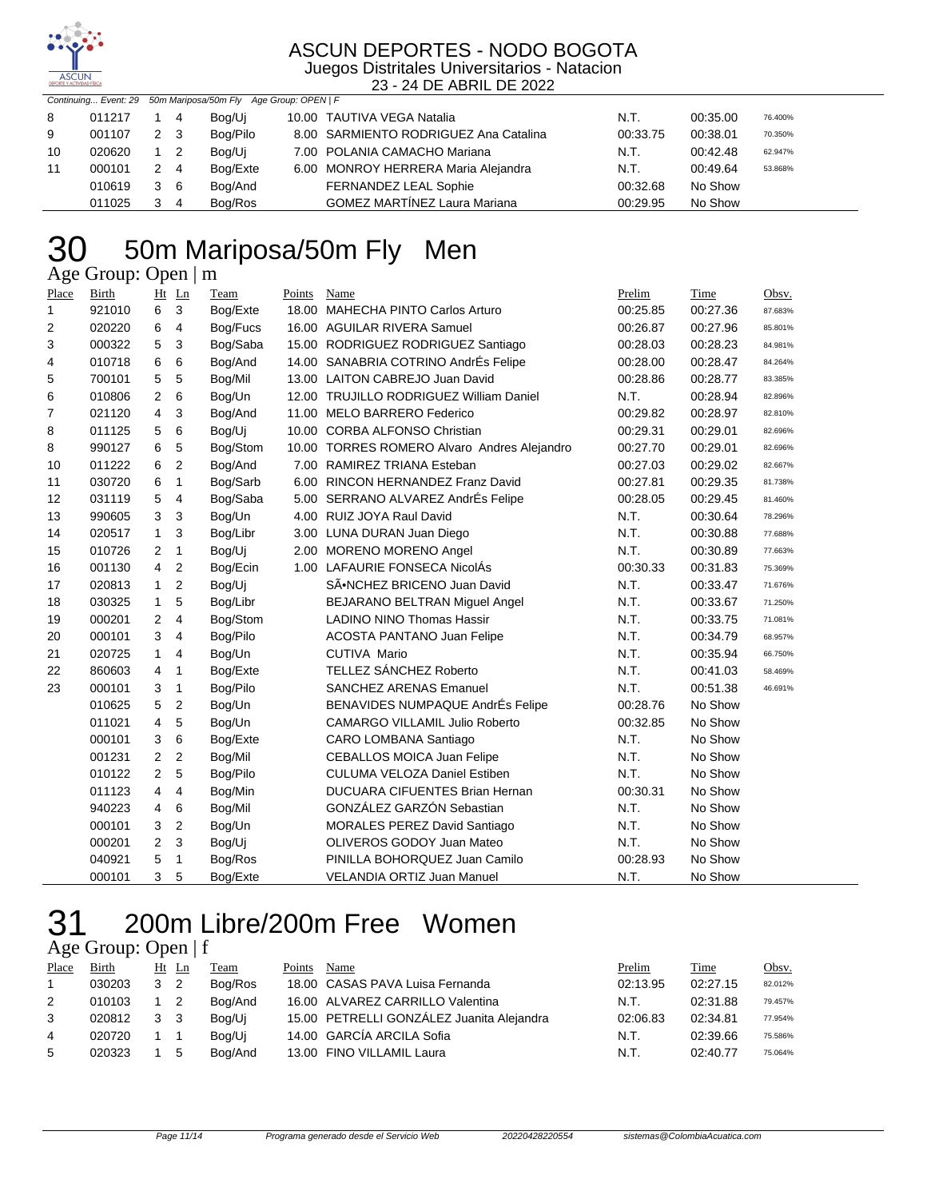

#### ASCUN DEPORTES - NODO BOGOTA Juegos Distritales Universitarios - Natacion

23 - 24 DE ABRIL DE 2022

|    |        |     |                            | Continuing Event: 29 50m Mariposa/50m Fly Age Group: OPEN   F |                                       |          |          |         |
|----|--------|-----|----------------------------|---------------------------------------------------------------|---------------------------------------|----------|----------|---------|
| 8  | 011217 |     | - 4                        | Bog/Ui                                                        | 10.00 TAUTIVA VEGA Natalia            | N.T.     | 00:35.00 | 76.400% |
| 9  | 001107 | 2 3 |                            | Bog/Pilo                                                      | 8.00 SARMIENTO RODRIGUEZ Ana Catalina | 00:33.75 | 00:38.01 | 70.350% |
| 10 | 020620 |     | $\overline{\phantom{0}}^2$ | Bog/Ui                                                        | 7.00 POLANIA CAMACHO Mariana          | N.T.     | 00:42.48 | 62.947% |
| 11 | 000101 | 2 4 |                            | Bog/Exte                                                      | 6.00 MONROY HERRERA Maria Alejandra   | N.T.     | 00:49.64 | 53.868% |
|    | 010619 | 3   | - 6                        | Bog/And                                                       | FERNANDEZ LEAL Sophie                 | 00:32.68 | No Show  |         |
|    | 011025 |     | -4                         | Bog/Ros                                                       | <b>GOMEZ MARTÍNEZ Laura Mariana</b>   | 00:29.95 | No Show  |         |

### 50m Mariposa/50m Fly Men Age Group: Open | m

Place Birth Ht Ln Team Points Name Prelim Time Obsv. 921010 6 3 Bog/Exte 18.00 MAHECHA PINTO Carlos Arturo 00:25.85 00:27.36 87.683% 020220 6 4 Bog/Fucs 16.00 AGUILAR RIVERA Samuel 00:26.87 00:27.96 85.801% 000322 5 3 Bog/Saba 15.00 RODRIGUEZ RODRIGUEZ Santiago 00:28.03 00:28.23 84.981% 010718 6 6 Bog/And 14.00 SANABRIA COTRINO AndrÉs Felipe 00:28.00 00:28.47 84.264% 700101 5 5 Bog/Mil 13.00 LAITON CABREJO Juan David 00:28.86 00:28.77 83.385% 010806 2 6 Bog/Un 12.00 TRUJILLO RODRIGUEZ William Daniel N.T. 00:28.94 82.896% 7 021120 4 3 Bog/And 11.00 MELO BARRERO Federico 00:29.82 00:28.97 82.810% 011125 5 6 Bog/Uj 10.00 CORBA ALFONSO Christian 00:29.31 00:29.01 82.696% 990127 6 5 Bog/Stom 10.00 TORRES ROMERO Alvaro Andres Alejandro 00:27.70 00:29.01 82.696% 011222 6 2 Bog/And 7.00 RAMIREZ TRIANA Esteban 00:27.03 00:29.02 82.667% 030720 6 1 Bog/Sarb 6.00 RINCON HERNANDEZ Franz David 00:27.81 00:29.35 81.738% 031119 5 4 Bog/Saba 5.00 SERRANO ALVAREZ AndrÉs Felipe 00:28.05 00:29.45 81.460% 990605 3 3 Bog/Un 4.00 RUIZ JOYA Raul David N.T. 00:30.64 78.296% 14 020517 1 3 Bog/Libr 3.00 LUNA DURAN Juan Diego N.T. 00:30.88 77.688% 010726 2 1 Bog/Uj 2.00 MORENO MORENO Angel N.T. 00:30.89 77.663% 001130 4 2 Bog/Ecin 1.00 LAFAURIE FONSECA NicolÁs 00:30.33 00:31.83 75.369% 17 020813 1 2 Bog/Uj SÃ.NCHEZ BRICENO Juan David N.T. 00:33.47 71.676% 030325 1 5 Bog/Libr BEJARANO BELTRAN Miguel Angel N.T. 00:33.67 71.250% 000201 2 4 Bog/Stom LADINO NINO Thomas Hassir N.T. 00:33.75 71.081% 20 000101 3 4 Bog/Pilo ACOSTA PANTANO Juan Felipe N.T. 00:34.79 68.957% 21 020725 1 4 Bog/Un CUTIVA Mario N.T. 00:35.94 66.750% 860603 4 1 Bog/Exte TELLEZ SÁNCHEZ Roberto N.T. 00:41.03 58.469% 000101 3 1 Bog/Pilo SANCHEZ ARENAS Emanuel N.T. 00:51.38 46.691% 010625 5 2 Bog/Un BENAVIDES NUMPAQUE AndrÉs Felipe 00:28.76 No Show 011021 4 5 Bog/Un CAMARGO VILLAMIL Julio Roberto 00:32.85 No Show 000101 3 6 Bog/Exte CARO LOMBANA Santiago N.T. No Show 001231 2 2 Bog/Mil CEBALLOS MOICA Juan Felipe N.T. No Show 2 5 Bog/Pilo CULUMA VELOZA Daniel Estiben N.T. No Show 011123 4 Bog/Min DUCUARA CIFUENTES Brian Hernan 00:30.31 No Show 4 6 Bog/Mil GONZÁLEZ GARZÓN Sebastian N.T. No Show 000101 3 2 Bog/Un MORALES PEREZ David Santiago N.T. No Show 2 3 Bog/Uj OLIVEROS GODOY Juan Mateo N.T. No Show 040921 5 1 Bog/Ros PINILLA BOHORQUEZ Juan Camilo 00:28.93 No Show 000101 3 5 Bog/Exte VELANDIA ORTIZ Juan Manuel N.T. No Show

### 200m Libre/200m Free Women Age Group: Open | f

| Place | Birth  |   | Ht Ln | Team    | Points | Name                                      | Prelim   | Time     | Obsv.   |
|-------|--------|---|-------|---------|--------|-------------------------------------------|----------|----------|---------|
|       | 030203 | 3 | - 2   | Boa/Ros |        | 18.00 CASAS PAVA Luisa Fernanda           | 02:13.95 | 02:27.15 | 82.012% |
| 2     | 010103 |   |       | Boa/And |        | 16.00 ALVAREZ CARRILLO Valentina          | N.T.     | 02:31.88 | 79.457% |
| 3     | 020812 | 3 | - 3   | Bog/Ui  |        | 15.00 PETRELLI GONZÁLEZ Juanita Alejandra | 02:06.83 | 02:34.81 | 77.954% |
| 4     | 020720 |   |       | Bog/Ui  |        | 14.00 GARCÍA ARCILA Sofia                 | N.T.     | 02:39.66 | 75.586% |
| 5     | 020323 |   | -5    | Boa/And |        | 13.00 FINO VILLAMIL Laura                 | N.T.     | 02:40.77 | 75.064% |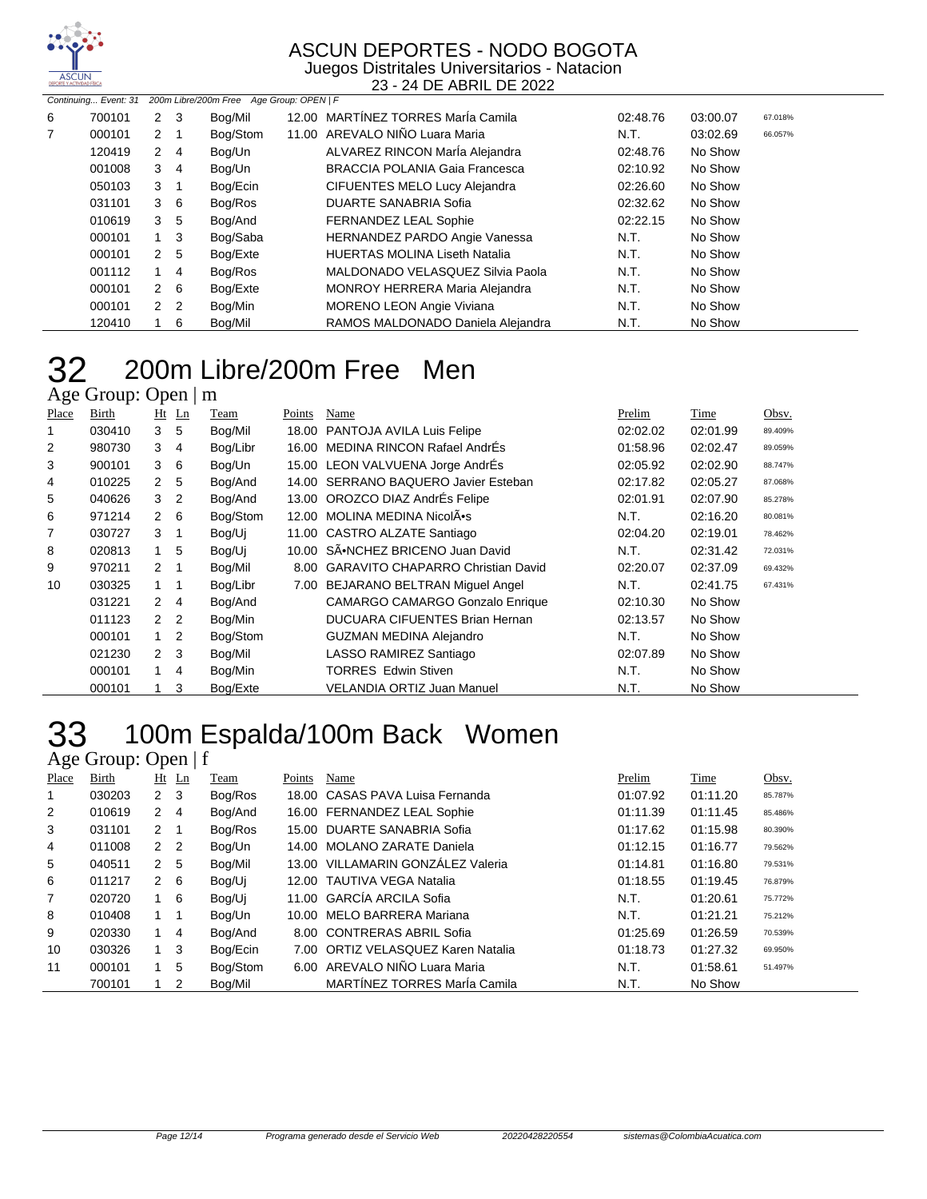

Juegos Distritales Universitarios - Natacion 23 - 24 DE ABRIL DE 2022

|   |        |                | Continuing Event: 31 200m Libre/200m Free Age Group: OPEN   F |          |  |                                       |          |          |         |
|---|--------|----------------|---------------------------------------------------------------|----------|--|---------------------------------------|----------|----------|---------|
| 6 | 700101 | $2 \quad 3$    |                                                               | Bog/Mil  |  | 12.00 MARTÍNEZ TORRES MarÍa Camila    | 02:48.76 | 03:00.07 | 67.018% |
| 7 | 000101 | $2 \quad 1$    |                                                               | Bog/Stom |  | 11.00 AREVALO NIÑO Luara Maria        | N.T.     | 03:02.69 | 66.057% |
|   | 120419 | 2 4            |                                                               | Bog/Un   |  | ALVAREZ RINCON MarÍa Alejandra        | 02:48.76 | No Show  |         |
|   | 001008 | $3 \quad 4$    |                                                               | Bog/Un   |  | <b>BRACCIA POLANIA Gaia Francesca</b> | 02:10.92 | No Show  |         |
|   | 050103 | $3 \quad 1$    |                                                               | Bog/Ecin |  | <b>CIFUENTES MELO Lucy Alejandra</b>  | 02:26.60 | No Show  |         |
|   | 031101 | $3\quad 6$     |                                                               | Bog/Ros  |  | DUARTE SANABRIA Sofia                 | 02:32.62 | No Show  |         |
|   | 010619 | 3              | 5                                                             | Bog/And  |  | FERNANDEZ LEAL Sophie                 | 02:22.15 | No Show  |         |
|   | 000101 | $1 \quad 3$    |                                                               | Bog/Saba |  | <b>HERNANDEZ PARDO Angie Vanessa</b>  | N.T.     | No Show  |         |
|   | 000101 | 2 <sub>5</sub> |                                                               | Bog/Exte |  | <b>HUERTAS MOLINA Liseth Natalia</b>  | N.T.     | No Show  |         |
|   | 001112 |                | 4                                                             | Bog/Ros  |  | MALDONADO VELASQUEZ Silvia Paola      | N.T.     | No Show  |         |
|   | 000101 | $2\quad 6$     |                                                               | Bog/Exte |  | <b>MONROY HERRERA Maria Alejandra</b> | N.T.     | No Show  |         |
|   | 000101 | 2 <sub>2</sub> |                                                               | Bog/Min  |  | <b>MORENO LEON Angie Viviana</b>      | N.T.     | No Show  |         |
|   | 120410 |                | 6                                                             | Bog/Mil  |  | RAMOS MALDONADO Daniela Alejandra     | N.T.     | No Show  |         |

### 200m Libre/200m Free Men 200m LI<br>Age Group: Open | m

| Place | Birth  | Ht            | Ln | Team     | Points | Name                                     | Prelim   | Time     | Obsv.   |
|-------|--------|---------------|----|----------|--------|------------------------------------------|----------|----------|---------|
|       | 030410 | 3             | 5  | Bog/Mil  | 18.00  | PANTOJA AVILA Luis Felipe                | 02:02.02 | 02:01.99 | 89.409% |
| 2     | 980730 | 3             | 4  | Bog/Libr | 16.00  | <b>MEDINA RINCON Rafael AndrÉs</b>       | 01:58.96 | 02:02.47 | 89.059% |
| 3     | 900101 | 3             | 6  | Bog/Un   |        | 15.00 LEON VALVUENA Jorge AndrÉs         | 02:05.92 | 02:02.90 | 88.747% |
| 4     | 010225 | $2^{\circ}$   | 5  | Bog/And  |        | 14.00 SERRANO BAQUERO Javier Esteban     | 02:17.82 | 02:05.27 | 87.068% |
| 5     | 040626 | 3             | 2  | Bog/And  |        | 13.00 OROZCO DIAZ AndrÉs Felipe          | 02:01.91 | 02:07.90 | 85.278% |
| 6     | 971214 | $\mathbf{2}$  | 6  | Bog/Stom | 12.00  | MOLINA MEDINA NicolÂ.                    | N.T.     | 02:16.20 | 80.081% |
| 7     | 030727 | 3             | 1  | Bog/Uj   |        | 11.00 CASTRO ALZATE Santiago             | 02:04.20 | 02:19.01 | 78.462% |
| 8     | 020813 | 1             | 5  | Bog/Ui   |        | 10.00 SÃ.NCHEZ BRICENO Juan David        | N.T.     | 02:31.42 | 72.031% |
| 9     | 970211 | $\mathcal{P}$ | 1  | Bog/Mil  | 8.00   | <b>GARAVITO CHAPARRO Christian David</b> | 02:20.07 | 02:37.09 | 69.432% |
| 10    | 030325 | $1 \quad$     | 1  | Bog/Libr | 7.00   | BEJARANO BELTRAN Miguel Angel            | N.T.     | 02:41.75 | 67.431% |
|       | 031221 | 2             | 4  | Bog/And  |        | <b>CAMARGO CAMARGO Gonzalo Enrique</b>   | 02:10.30 | No Show  |         |
|       | 011123 | $\mathcal{P}$ | 2  | Bog/Min  |        | DUCUARA CIFUENTES Brian Hernan           | 02:13.57 | No Show  |         |
|       | 000101 | 1             | 2  | Bog/Stom |        | <b>GUZMAN MEDINA Alejandro</b>           | N.T.     | No Show  |         |
|       | 021230 | 2             | 3  | Bog/Mil  |        | LASSO RAMIREZ Santiago                   | 02:07.89 | No Show  |         |
|       | 000101 | 1             | 4  | Bog/Min  |        | <b>TORRES Edwin Stiven</b>               | N.T.     | No Show  |         |
|       | 000101 |               | 3  | Bog/Exte |        | VELANDIA ORTIZ Juan Manuel               | N.T.     | No Show  |         |

# 33 100m Espalda/100m Back Women

|                | Age Group: Open $ f $ |                |                |          |        |                                     |          |          |         |  |  |
|----------------|-----------------------|----------------|----------------|----------|--------|-------------------------------------|----------|----------|---------|--|--|
| Place          | Birth                 |                | Ht Ln          | Team     | Points | Name                                | Prelim   | Time     | Obsv.   |  |  |
| 1              | 030203                | $2 \quad 3$    |                | Bog/Ros  |        | 18.00 CASAS PAVA Luisa Fernanda     | 01:07.92 | 01:11.20 | 85.787% |  |  |
| $\overline{2}$ | 010619                | $2 \quad 4$    |                | Bog/And  |        | 16.00 FERNANDEZ LEAL Sophie         | 01:11.39 | 01:11.45 | 85.486% |  |  |
| 3              | 031101                | $2 \quad 1$    |                | Bog/Ros  | 15.00  | DUARTE SANABRIA Sofia               | 01:17.62 | 01:15.98 | 80.390% |  |  |
| 4              | 011008                | $\mathbf{2}$   | $\overline{2}$ | Bog/Un   | 14.00  | <b>MOLANO ZARATE Daniela</b>        | 01:12.15 | 01:16.77 | 79.562% |  |  |
| 5              | 040511                | 2 <sub>5</sub> |                | Bog/Mil  |        | 13.00 VILLAMARIN GONZÁLEZ Valeria   | 01:14.81 | 01:16.80 | 79.531% |  |  |
| 6              | 011217                | 2              | - 6            | Bog/Ui   |        | 12.00 TAUTIVA VEGA Natalia          | 01:18.55 | 01:19.45 | 76.879% |  |  |
| 7              | 020720                | $1\quad 6$     |                | Bog/Ui   |        | 11.00 GARCÍA ARCILA Sofia           | N.T.     | 01:20.61 | 75.772% |  |  |
| 8              | 010408                | 1 1            |                | Bog/Un   |        | 10.00 MELO BARRERA Mariana          | N.T.     | 01:21.21 | 75.212% |  |  |
| 9              | 020330                | 1              | -4             | Bog/And  | 8.00   | <b>CONTRERAS ABRIL Sofia</b>        | 01:25.69 | 01:26.59 | 70.539% |  |  |
| 10             | 030326                | $1 \quad 3$    |                | Bog/Ecin | 7.00   | ORTIZ VELASQUEZ Karen Natalia       | 01:18.73 | 01:27.32 | 69.950% |  |  |
| 11             | 000101                |                | 5              | Bog/Stom |        | 6.00 AREVALO NIÑO Luara Maria       | N.T.     | 01:58.61 | 51.497% |  |  |
|                | 700101                |                | $\overline{2}$ | Bog/Mil  |        | <b>MARTÍNEZ TORRES María Camila</b> | N.T.     | No Show  |         |  |  |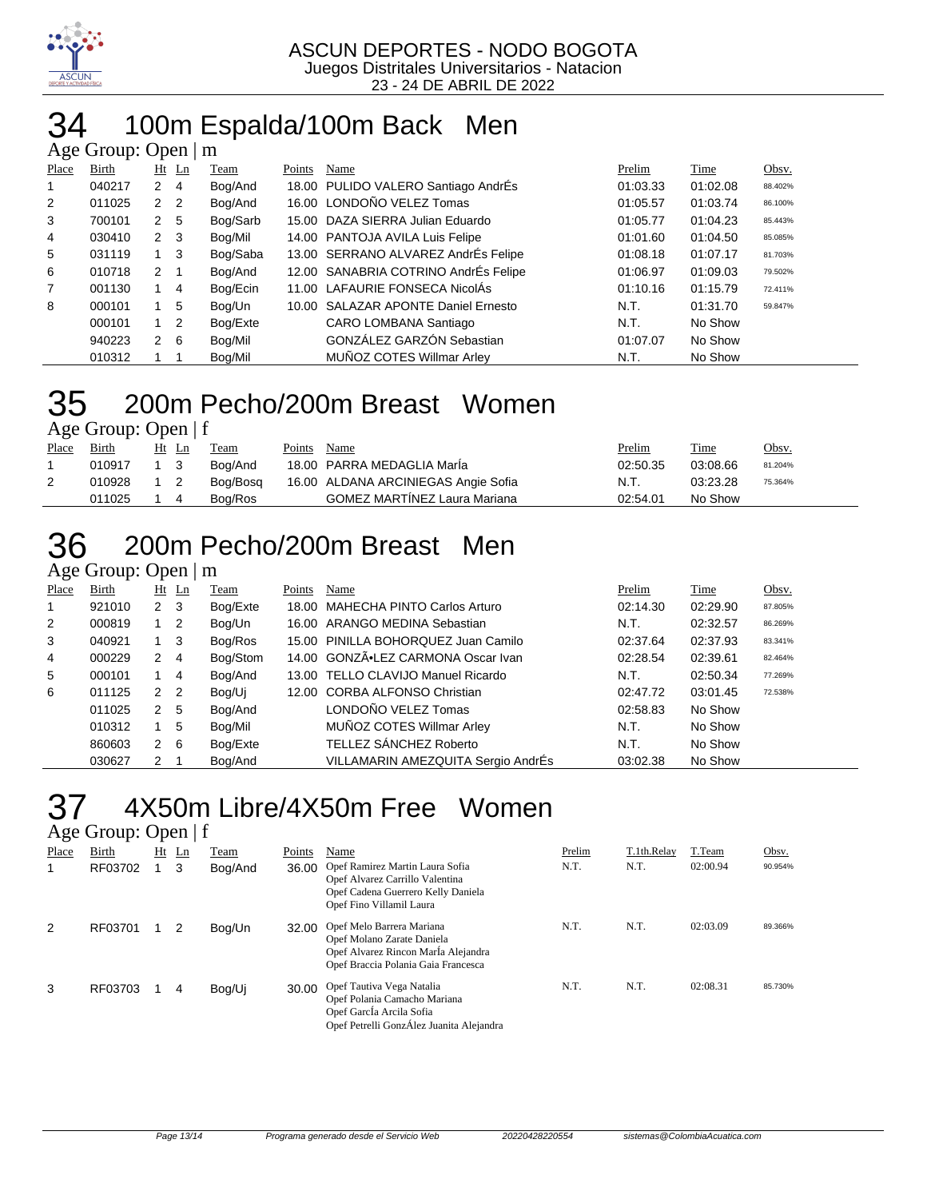

## 34 100m Espalda/100m Back Men

|                | Age Group: Open $\mid$ m |                |                |          |        |                                      |          |          |         |  |  |  |
|----------------|--------------------------|----------------|----------------|----------|--------|--------------------------------------|----------|----------|---------|--|--|--|
| Place          | Birth                    |                | $Ht$ Ln        | Team     | Points | Name                                 | Prelim   | Time     | Obsv.   |  |  |  |
| 1              | 040217                   | $\overline{2}$ | 4              | Bog/And  |        | 18.00 PULIDO VALERO Santiago AndrÉs  | 01:03.33 | 01:02.08 | 88.402% |  |  |  |
| $\overline{2}$ | 011025                   | $\mathbf{2}$   | $\overline{2}$ | Bog/And  |        | 16.00 LONDOÑO VELEZ Tomas            | 01:05.57 | 01:03.74 | 86.100% |  |  |  |
| 3              | 700101                   | 2              | -5             | Bog/Sarb |        | 15.00 DAZA SIERRA Julian Eduardo     | 01:05.77 | 01:04.23 | 85.443% |  |  |  |
| 4              | 030410                   | 2              | -3             | Bog/Mil  |        | 14.00 PANTOJA AVILA Luis Felipe      | 01:01.60 | 01:04.50 | 85.085% |  |  |  |
| 5              | 031119                   |                | -3             | Bog/Saba |        | 13.00 SERRANO ALVAREZ AndrÉs Felipe  | 01:08.18 | 01:07.17 | 81.703% |  |  |  |
| 6              | 010718                   | $2 \quad 1$    |                | Bog/And  |        | 12.00 SANABRIA COTRINO AndrÉs Felipe | 01:06.97 | 01:09.03 | 79.502% |  |  |  |
| 7              | 001130                   |                | $\overline{4}$ | Bog/Ecin |        | 11.00 LAFAURIE FONSECA NicolÁs       | 01:10.16 | 01:15.79 | 72.411% |  |  |  |
| 8              | 000101                   |                | 5              | Bog/Un   |        | 10.00 SALAZAR APONTE Daniel Ernesto  | N.T.     | 01:31.70 | 59.847% |  |  |  |
|                | 000101                   |                | $\overline{2}$ | Bog/Exte |        | CARO LOMBANA Santiago                | N.T.     | No Show  |         |  |  |  |
|                | 940223                   | $\mathbf{2}$   | 6              | Bog/Mil  |        | GONZÁLEZ GARZÓN Sebastian            | 01:07.07 | No Show  |         |  |  |  |
|                | 010312                   |                |                | Bog/Mil  |        | MUÑOZ COTES Willmar Arley            | N.T.     | No Show  |         |  |  |  |

#### 35 200m Pecho/200m Breast Women Age Group: Open | f

|       | $-25$ $-20$ $-1$ $-1$ |                |          |        |                                     |          |          |         |
|-------|-----------------------|----------------|----------|--------|-------------------------------------|----------|----------|---------|
| Place | Birth                 | Ht Ln          | Team     | Points | Name                                | Prelim   | Time     | Obsv.   |
|       | 010917                |                | Boa/And  |        | 18.00 PARRA MEDAGLIA Maria          | 02:50.35 | 03:08.66 | 81.204% |
|       | 010928                | $\overline{2}$ | Bog/Bosg |        | 16.00 ALDANA ARCINIEGAS Angie Sofia | N.T.     | 03:23.28 | 75.364% |
|       | 011025                | 4              | Bog/Ros  |        | <b>GOMEZ MARTINEZ Laura Mariana</b> | 02:54.01 | No Show  |         |
|       |                       |                |          |        |                                     |          |          |         |

# 36 200m Pecho/200m Breast Men

Age Group: Open | m

| Place          | Birth  | $Ht$ Ln              |                | Team     | Points | Name                                | Prelim   | <b>Time</b> | Obsv.   |
|----------------|--------|----------------------|----------------|----------|--------|-------------------------------------|----------|-------------|---------|
|                | 921010 | $2 \quad 3$          |                | Bog/Exte |        | 18.00 MAHECHA PINTO Carlos Arturo   | 02:14.30 | 02:29.90    | 87.805% |
| $\overline{2}$ | 000819 |                      | - 2            | Bog/Un   |        | 16.00 ARANGO MEDINA Sebastian       | N.T.     | 02:32.57    | 86.269% |
| 3              | 040921 |                      | -3             | Bog/Ros  |        | 15.00 PINILLA BOHORQUEZ Juan Camilo | 02:37.64 | 02:37.93    | 83.341% |
| 4              | 000229 | 2                    | $\overline{4}$ | Bog/Stom |        | 14.00 GONZÃ.LEZ CARMONA Oscar Ivan  | 02:28.54 | 02:39.61    | 82.464% |
| 5              | 000101 |                      | 4              | Bog/And  |        | 13.00 TELLO CLAVIJO Manuel Ricardo  | N.T.     | 02:50.34    | 77.269% |
| 6              | 011125 | 2                    | - 2            | Bog/Uj   |        | 12.00 CORBA ALFONSO Christian       | 02:47.72 | 03:01.45    | 72.538% |
|                | 011025 | $\mathbf{2}^{\circ}$ | 5              | Bog/And  |        | LONDOÑO VELEZ Tomas                 | 02:58.83 | No Show     |         |
|                | 010312 |                      | 5              | Bog/Mil  |        | MUÑOZ COTES Willmar Arley           | N.T.     | No Show     |         |
|                | 860603 | $\mathbf{2}$         | - 6            | Bog/Exte |        | TELLEZ SÁNCHEZ Roberto              | N.T.     | No Show     |         |
|                | 030627 | 2                    |                | Bog/And  |        | VILLAMARIN AMEZQUITA Sergio AndrÉs  | 03:02.38 | No Show     |         |

### 37 4X50m Libre/4X50m Free Women

| Age Group: Open   f |  |
|---------------------|--|
|                     |  |

| Place | Birth   | Ht | Ln | Team    | Points | Name                                                                                                                                  | Prelim | T.1th.Relay | T.Team   | Obsv.   |
|-------|---------|----|----|---------|--------|---------------------------------------------------------------------------------------------------------------------------------------|--------|-------------|----------|---------|
|       | RF03702 |    | 3  | Bog/And | 36.00  | Opef Ramirez Martin Laura Sofia<br>Opef Alvarez Carrillo Valentina<br>Opef Cadena Guerrero Kelly Daniela<br>Opef Fino Villamil Laura  | N.T.   | N.T.        | 02:00.94 | 90.954% |
| 2     | RF03701 |    |    | Bog/Un  | 32.00  | Opef Melo Barrera Mariana<br>Opef Molano Zarate Daniela<br>Opef Alvarez Rincon MarÍa Alejandra<br>Opef Braccia Polania Gaia Francesca | N.T.   | N.T.        | 02:03.09 | 89.366% |
| 3     | RF03703 |    | 4  | Bog/Uj  | 30.00  | Opef Tautiva Vega Natalia<br>Opef Polania Camacho Mariana<br>Opef García Arcila Sofia<br>Opef Petrelli GonzÁlez Juanita Alejandra     | N.T.   | N.T.        | 02:08.31 | 85.730% |